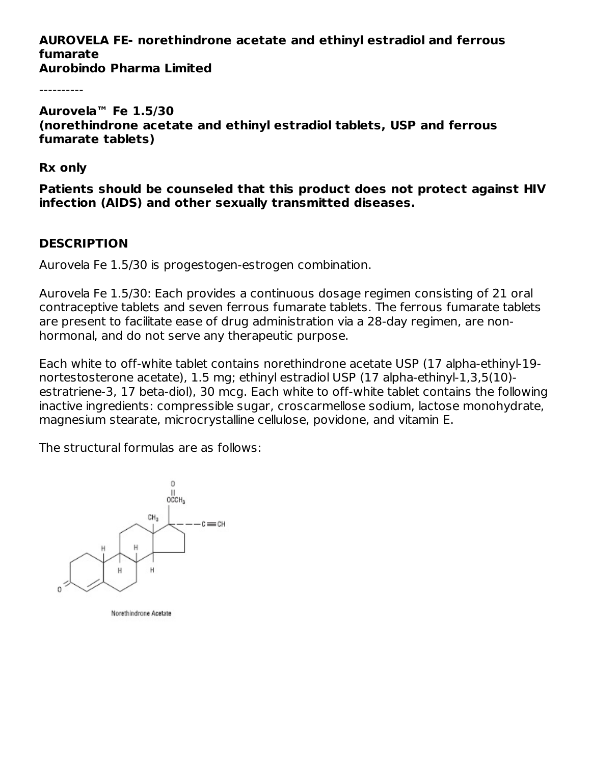#### **AUROVELA FE- norethindrone acetate and ethinyl estradiol and ferrous fumarate Aurobindo Pharma Limited**

----------

**Aurovela™ Fe 1.5/30 (norethindrone acetate and ethinyl estradiol tablets, USP and ferrous fumarate tablets)**

**Rx only**

**Patients should be counseled that this product does not protect against HIV infection (AIDS) and other sexually transmitted diseases.**

#### **DESCRIPTION**

Aurovela Fe 1.5/30 is progestogen-estrogen combination.

Aurovela Fe 1.5/30: Each provides a continuous dosage regimen consisting of 21 oral contraceptive tablets and seven ferrous fumarate tablets. The ferrous fumarate tablets are present to facilitate ease of drug administration via a 28-day regimen, are nonhormonal, and do not serve any therapeutic purpose.

Each white to off-white tablet contains norethindrone acetate USP (17 alpha-ethinyl-19 nortestosterone acetate), 1.5 mg; ethinyl estradiol USP (17 alpha-ethinyl-1,3,5(10) estratriene-3, 17 beta-diol), 30 mcg. Each white to off-white tablet contains the following inactive ingredients: compressible sugar, croscarmellose sodium, lactose monohydrate, magnesium stearate, microcrystalline cellulose, povidone, and vitamin E.

The structural formulas are as follows:



Norethindrone Acetate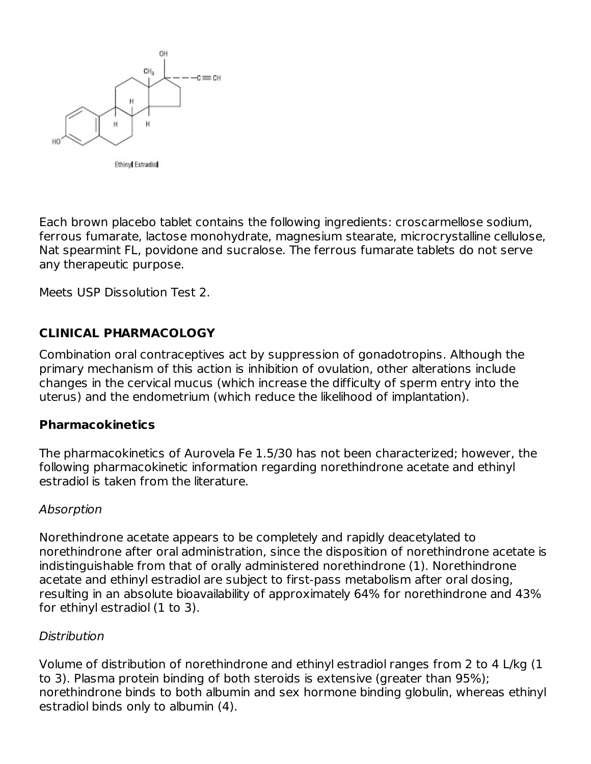

Ethinyl Estradio

Each brown placebo tablet contains the following ingredients: croscarmellose sodium, ferrous fumarate, lactose monohydrate, magnesium stearate, microcrystalline cellulose, Nat spearmint FL, povidone and sucralose. The ferrous fumarate tablets do not serve any therapeutic purpose.

Meets USP Dissolution Test 2.

## **CLINICAL PHARMACOLOGY**

Combination oral contraceptives act by suppression of gonadotropins. Although the primary mechanism of this action is inhibition of ovulation, other alterations include changes in the cervical mucus (which increase the difficulty of sperm entry into the uterus) and the endometrium (which reduce the likelihood of implantation).

#### **Pharmacokinetics**

The pharmacokinetics of Aurovela Fe 1.5/30 has not been characterized; however, the following pharmacokinetic information regarding norethindrone acetate and ethinyl estradiol is taken from the literature.

#### Absorption

Norethindrone acetate appears to be completely and rapidly deacetylated to norethindrone after oral administration, since the disposition of norethindrone acetate is indistinguishable from that of orally administered norethindrone (1). Norethindrone acetate and ethinyl estradiol are subject to first-pass metabolism after oral dosing, resulting in an absolute bioavailability of approximately 64% for norethindrone and 43% for ethinyl estradiol (1 to 3).

#### Distribution

Volume of distribution of norethindrone and ethinyl estradiol ranges from 2 to 4 L/kg (1 to 3). Plasma protein binding of both steroids is extensive (greater than 95%); norethindrone binds to both albumin and sex hormone binding globulin, whereas ethinyl estradiol binds only to albumin (4).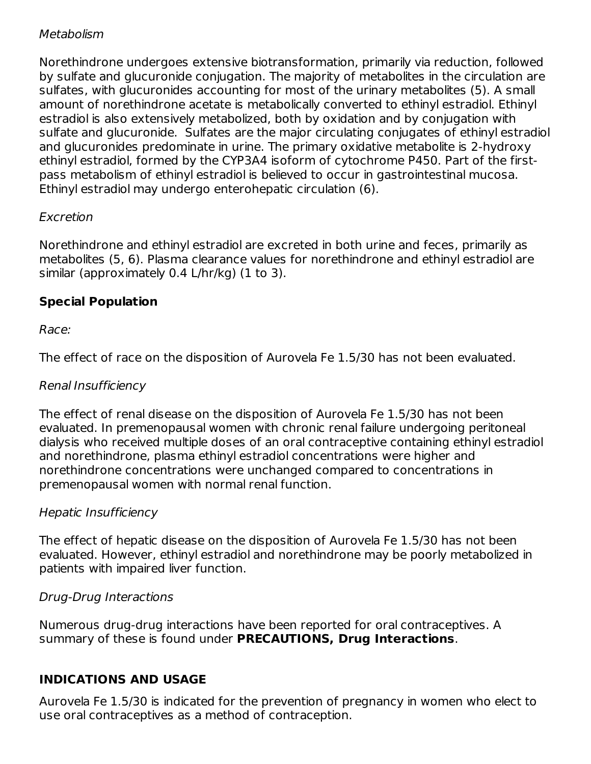#### Metabolism

Norethindrone undergoes extensive biotransformation, primarily via reduction, followed by sulfate and glucuronide conjugation. The majority of metabolites in the circulation are sulfates, with glucuronides accounting for most of the urinary metabolites (5). A small amount of norethindrone acetate is metabolically converted to ethinyl estradiol. Ethinyl estradiol is also extensively metabolized, both by oxidation and by conjugation with sulfate and glucuronide. Sulfates are the major circulating conjugates of ethinyl estradiol and glucuronides predominate in urine. The primary oxidative metabolite is 2-hydroxy ethinyl estradiol, formed by the CYP3A4 isoform of cytochrome P450. Part of the firstpass metabolism of ethinyl estradiol is believed to occur in gastrointestinal mucosa. Ethinyl estradiol may undergo enterohepatic circulation (6).

## Excretion

Norethindrone and ethinyl estradiol are excreted in both urine and feces, primarily as metabolites (5, 6). Plasma clearance values for norethindrone and ethinyl estradiol are similar (approximately 0.4 L/hr/kg) (1 to 3).

## **Special Population**

#### Race:

The effect of race on the disposition of Aurovela Fe 1.5/30 has not been evaluated.

## Renal Insufficiency

The effect of renal disease on the disposition of Aurovela Fe 1.5/30 has not been evaluated. In premenopausal women with chronic renal failure undergoing peritoneal dialysis who received multiple doses of an oral contraceptive containing ethinyl estradiol and norethindrone, plasma ethinyl estradiol concentrations were higher and norethindrone concentrations were unchanged compared to concentrations in premenopausal women with normal renal function.

#### Hepatic Insufficiency

The effect of hepatic disease on the disposition of Aurovela Fe 1.5/30 has not been evaluated. However, ethinyl estradiol and norethindrone may be poorly metabolized in patients with impaired liver function.

#### Drug-Drug Interactions

Numerous drug-drug interactions have been reported for oral contraceptives. A summary of these is found under **PRECAUTIONS, Drug Interactions**.

## **INDICATIONS AND USAGE**

Aurovela Fe 1.5/30 is indicated for the prevention of pregnancy in women who elect to use oral contraceptives as a method of contraception.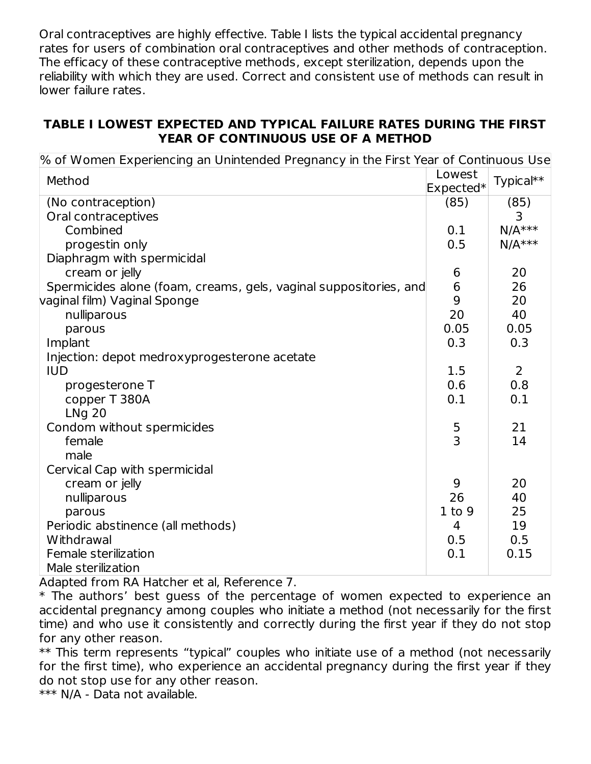Oral contraceptives are highly effective. Table I lists the typical accidental pregnancy rates for users of combination oral contraceptives and other methods of contraception. The efficacy of these contraceptive methods, except sterilization, depends upon the reliability with which they are used. Correct and consistent use of methods can result in lower failure rates.

#### **TABLE I LOWEST EXPECTED AND TYPICAL FAILURE RATES DURING THE FIRST YEAR OF CONTINUOUS USE OF A METHOD**

| $%$ of Women Experiencing an Unintended Pregnancy in the First Year of Continuous Use |                     |                |
|---------------------------------------------------------------------------------------|---------------------|----------------|
| Method                                                                                | Lowest<br>Expected* | Typical**      |
| (No contraception)                                                                    | (85)                | (85)           |
| Oral contraceptives                                                                   |                     | 3              |
| Combined                                                                              | 0.1                 | $N/A***$       |
| progestin only                                                                        | 0.5                 | $N/A***$       |
| Diaphragm with spermicidal                                                            |                     |                |
| cream or jelly                                                                        | 6                   | 20             |
| Spermicides alone (foam, creams, gels, vaginal suppositories, and                     | 6                   | 26             |
| vaginal film) Vaginal Sponge                                                          | 9                   | 20             |
| nulliparous                                                                           | 20                  | 40             |
| parous                                                                                | 0.05                | 0.05           |
| Implant                                                                               | 0.3                 | 0.3            |
| Injection: depot medroxyprogesterone acetate                                          |                     |                |
| <b>IUD</b>                                                                            | 1.5                 | $\overline{2}$ |
| progesterone T                                                                        | 0.6                 | 0.8            |
| copper T 380A                                                                         | 0.1                 | 0.1            |
| <b>LNg 20</b>                                                                         |                     |                |
| Condom without spermicides                                                            | $\frac{5}{3}$       | 21             |
| female                                                                                |                     | 14             |
| male                                                                                  |                     |                |
| Cervical Cap with spermicidal                                                         |                     |                |
| cream or jelly                                                                        | 9                   | 20             |
| nulliparous                                                                           | 26                  | 40             |
| parous                                                                                | $1$ to $9$          | 25             |
| Periodic abstinence (all methods)                                                     | 4                   | 19             |
| <b>Withdrawal</b>                                                                     | 0.5                 | 0.5            |
| Female sterilization                                                                  | 0.1                 | 0.15           |
| Male sterilization                                                                    |                     |                |

Adapted from RA Hatcher et al, Reference 7.

\* The authors' best guess of the percentage of women expected to experience an accidental pregnancy among couples who initiate a method (not necessarily for the first time) and who use it consistently and correctly during the first year if they do not stop for any other reason.

\*\* This term represents "typical" couples who initiate use of a method (not necessarily for the first time), who experience an accidental pregnancy during the first year if they do not stop use for any other reason.

\*\*\* N/A - Data not available.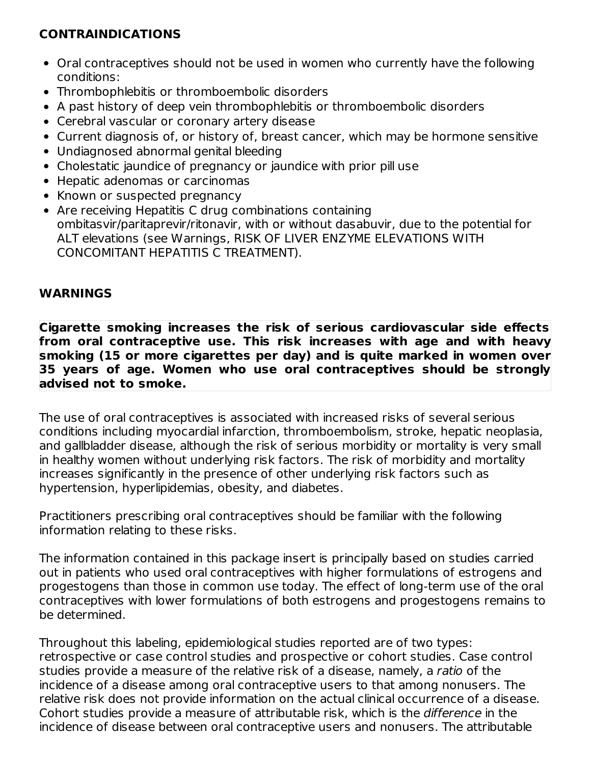## **CONTRAINDICATIONS**

- Oral contraceptives should not be used in women who currently have the following conditions:
- Thrombophlebitis or thromboembolic disorders
- A past history of deep vein thrombophlebitis or thromboembolic disorders
- Cerebral vascular or coronary artery disease
- Current diagnosis of, or history of, breast cancer, which may be hormone sensitive
- Undiagnosed abnormal genital bleeding
- Cholestatic jaundice of pregnancy or jaundice with prior pill use
- Hepatic adenomas or carcinomas
- Known or suspected pregnancy
- Are receiving Hepatitis C drug combinations containing ombitasvir/paritaprevir/ritonavir, with or without dasabuvir, due to the potential for ALT elevations (see Warnings, RISK OF LIVER ENZYME ELEVATIONS WITH CONCOMITANT HEPATITIS C TREATMENT).

## **WARNINGS**

**Cigarette smoking increases the risk of serious cardiovascular side effects from oral contraceptive use. This risk increases with age and with heavy smoking (15 or more cigarettes per day) and is quite marked in women over 35 years of age. Women who use oral contraceptives should be strongly advised not to smoke.**

The use of oral contraceptives is associated with increased risks of several serious conditions including myocardial infarction, thromboembolism, stroke, hepatic neoplasia, and gallbladder disease, although the risk of serious morbidity or mortality is very small in healthy women without underlying risk factors. The risk of morbidity and mortality increases significantly in the presence of other underlying risk factors such as hypertension, hyperlipidemias, obesity, and diabetes.

Practitioners prescribing oral contraceptives should be familiar with the following information relating to these risks.

The information contained in this package insert is principally based on studies carried out in patients who used oral contraceptives with higher formulations of estrogens and progestogens than those in common use today. The effect of long-term use of the oral contraceptives with lower formulations of both estrogens and progestogens remains to be determined.

Throughout this labeling, epidemiological studies reported are of two types: retrospective or case control studies and prospective or cohort studies. Case control studies provide a measure of the relative risk of a disease, namely, a ratio of the incidence of a disease among oral contraceptive users to that among nonusers. The relative risk does not provide information on the actual clinical occurrence of a disease. Cohort studies provide a measure of attributable risk, which is the difference in the incidence of disease between oral contraceptive users and nonusers. The attributable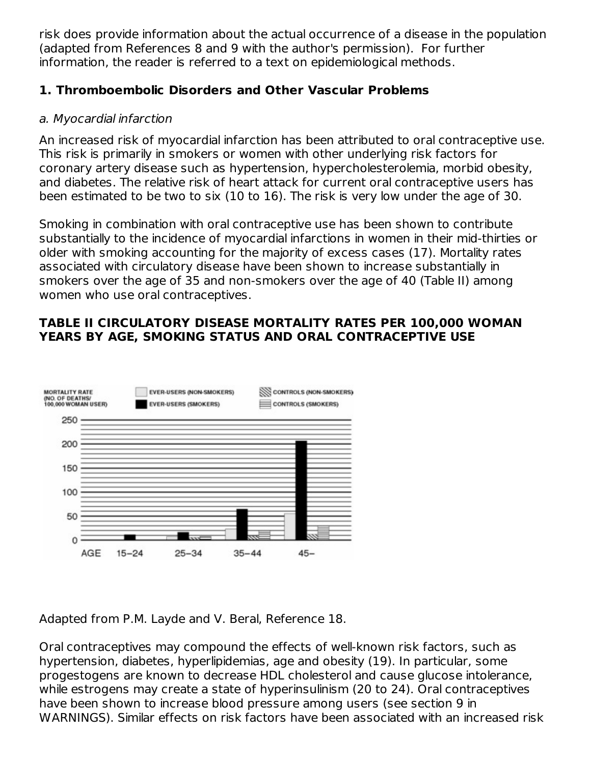risk does provide information about the actual occurrence of a disease in the population (adapted from References 8 and 9 with the author's permission). For further information, the reader is referred to a text on epidemiological methods.

## **1. Thromboembolic Disorders and Other Vascular Problems**

## a. Myocardial infarction

An increased risk of myocardial infarction has been attributed to oral contraceptive use. This risk is primarily in smokers or women with other underlying risk factors for coronary artery disease such as hypertension, hypercholesterolemia, morbid obesity, and diabetes. The relative risk of heart attack for current oral contraceptive users has been estimated to be two to six (10 to 16). The risk is very low under the age of 30.

Smoking in combination with oral contraceptive use has been shown to contribute substantially to the incidence of myocardial infarctions in women in their mid-thirties or older with smoking accounting for the majority of excess cases (17). Mortality rates associated with circulatory disease have been shown to increase substantially in smokers over the age of 35 and non-smokers over the age of 40 (Table II) among women who use oral contraceptives.

## **TABLE II CIRCULATORY DISEASE MORTALITY RATES PER 100,000 WOMAN YEARS BY AGE, SMOKING STATUS AND ORAL CONTRACEPTIVE USE**



Adapted from P.M. Layde and V. Beral, Reference 18.

Oral contraceptives may compound the effects of well-known risk factors, such as hypertension, diabetes, hyperlipidemias, age and obesity (19). In particular, some progestogens are known to decrease HDL cholesterol and cause glucose intolerance, while estrogens may create a state of hyperinsulinism (20 to 24). Oral contraceptives have been shown to increase blood pressure among users (see section 9 in WARNINGS). Similar effects on risk factors have been associated with an increased risk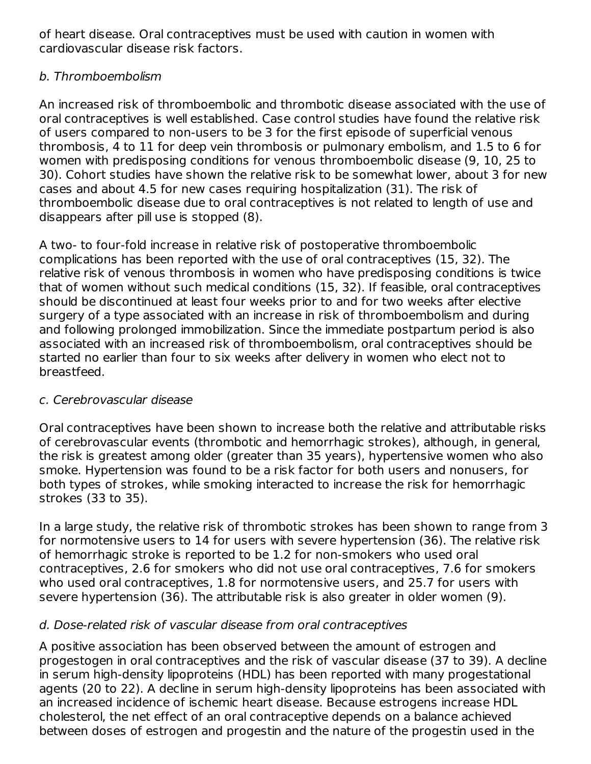of heart disease. Oral contraceptives must be used with caution in women with cardiovascular disease risk factors.

### b. Thromboembolism

An increased risk of thromboembolic and thrombotic disease associated with the use of oral contraceptives is well established. Case control studies have found the relative risk of users compared to non-users to be 3 for the first episode of superficial venous thrombosis, 4 to 11 for deep vein thrombosis or pulmonary embolism, and 1.5 to 6 for women with predisposing conditions for venous thromboembolic disease (9, 10, 25 to 30). Cohort studies have shown the relative risk to be somewhat lower, about 3 for new cases and about 4.5 for new cases requiring hospitalization (31). The risk of thromboembolic disease due to oral contraceptives is not related to length of use and disappears after pill use is stopped (8).

A two- to four-fold increase in relative risk of postoperative thromboembolic complications has been reported with the use of oral contraceptives (15, 32). The relative risk of venous thrombosis in women who have predisposing conditions is twice that of women without such medical conditions (15, 32). If feasible, oral contraceptives should be discontinued at least four weeks prior to and for two weeks after elective surgery of a type associated with an increase in risk of thromboembolism and during and following prolonged immobilization. Since the immediate postpartum period is also associated with an increased risk of thromboembolism, oral contraceptives should be started no earlier than four to six weeks after delivery in women who elect not to breastfeed.

## c. Cerebrovascular disease

Oral contraceptives have been shown to increase both the relative and attributable risks of cerebrovascular events (thrombotic and hemorrhagic strokes), although, in general, the risk is greatest among older (greater than 35 years), hypertensive women who also smoke. Hypertension was found to be a risk factor for both users and nonusers, for both types of strokes, while smoking interacted to increase the risk for hemorrhagic strokes (33 to 35).

In a large study, the relative risk of thrombotic strokes has been shown to range from 3 for normotensive users to 14 for users with severe hypertension (36). The relative risk of hemorrhagic stroke is reported to be 1.2 for non-smokers who used oral contraceptives, 2.6 for smokers who did not use oral contraceptives, 7.6 for smokers who used oral contraceptives, 1.8 for normotensive users, and 25.7 for users with severe hypertension (36). The attributable risk is also greater in older women (9).

# d. Dose-related risk of vascular disease from oral contraceptives

A positive association has been observed between the amount of estrogen and progestogen in oral contraceptives and the risk of vascular disease (37 to 39). A decline in serum high-density lipoproteins (HDL) has been reported with many progestational agents (20 to 22). A decline in serum high-density lipoproteins has been associated with an increased incidence of ischemic heart disease. Because estrogens increase HDL cholesterol, the net effect of an oral contraceptive depends on a balance achieved between doses of estrogen and progestin and the nature of the progestin used in the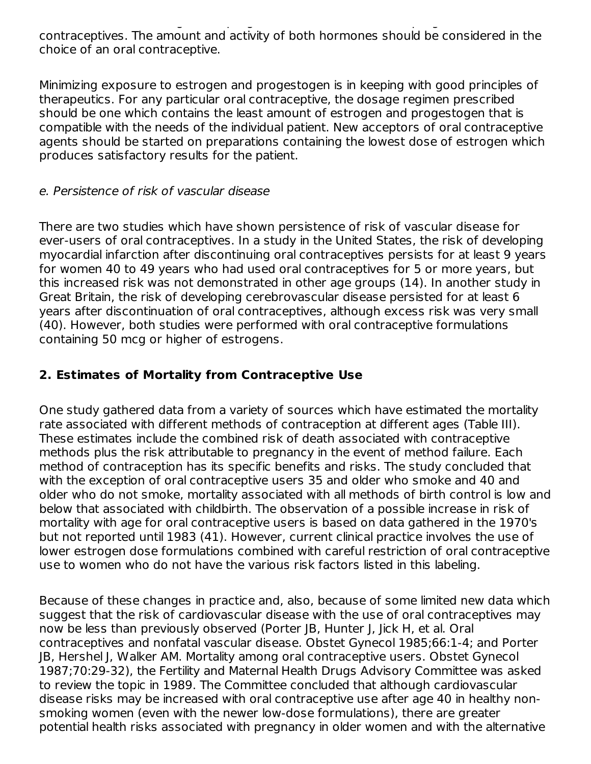between doses of estrogen and progestin and the nature of the progestin used in the contraceptives. The amount and activity of both hormones should be considered in the choice of an oral contraceptive.

Minimizing exposure to estrogen and progestogen is in keeping with good principles of therapeutics. For any particular oral contraceptive, the dosage regimen prescribed should be one which contains the least amount of estrogen and progestogen that is compatible with the needs of the individual patient. New acceptors of oral contraceptive agents should be started on preparations containing the lowest dose of estrogen which produces satisfactory results for the patient.

#### e. Persistence of risk of vascular disease

There are two studies which have shown persistence of risk of vascular disease for ever-users of oral contraceptives. In a study in the United States, the risk of developing myocardial infarction after discontinuing oral contraceptives persists for at least 9 years for women 40 to 49 years who had used oral contraceptives for 5 or more years, but this increased risk was not demonstrated in other age groups (14). In another study in Great Britain, the risk of developing cerebrovascular disease persisted for at least 6 years after discontinuation of oral contraceptives, although excess risk was very small (40). However, both studies were performed with oral contraceptive formulations containing 50 mcg or higher of estrogens.

## **2. Estimates of Mortality from Contraceptive Use**

One study gathered data from a variety of sources which have estimated the mortality rate associated with different methods of contraception at different ages (Table III). These estimates include the combined risk of death associated with contraceptive methods plus the risk attributable to pregnancy in the event of method failure. Each method of contraception has its specific benefits and risks. The study concluded that with the exception of oral contraceptive users 35 and older who smoke and 40 and older who do not smoke, mortality associated with all methods of birth control is low and below that associated with childbirth. The observation of a possible increase in risk of mortality with age for oral contraceptive users is based on data gathered in the 1970's but not reported until 1983 (41). However, current clinical practice involves the use of lower estrogen dose formulations combined with careful restriction of oral contraceptive use to women who do not have the various risk factors listed in this labeling.

Because of these changes in practice and, also, because of some limited new data which suggest that the risk of cardiovascular disease with the use of oral contraceptives may now be less than previously observed (Porter JB, Hunter J, Jick H, et al. Oral contraceptives and nonfatal vascular disease. Obstet Gynecol 1985;66:1-4; and Porter JB, Hershel J, Walker AM. Mortality among oral contraceptive users. Obstet Gynecol 1987;70:29-32), the Fertility and Maternal Health Drugs Advisory Committee was asked to review the topic in 1989. The Committee concluded that although cardiovascular disease risks may be increased with oral contraceptive use after age 40 in healthy nonsmoking women (even with the newer low-dose formulations), there are greater potential health risks associated with pregnancy in older women and with the alternative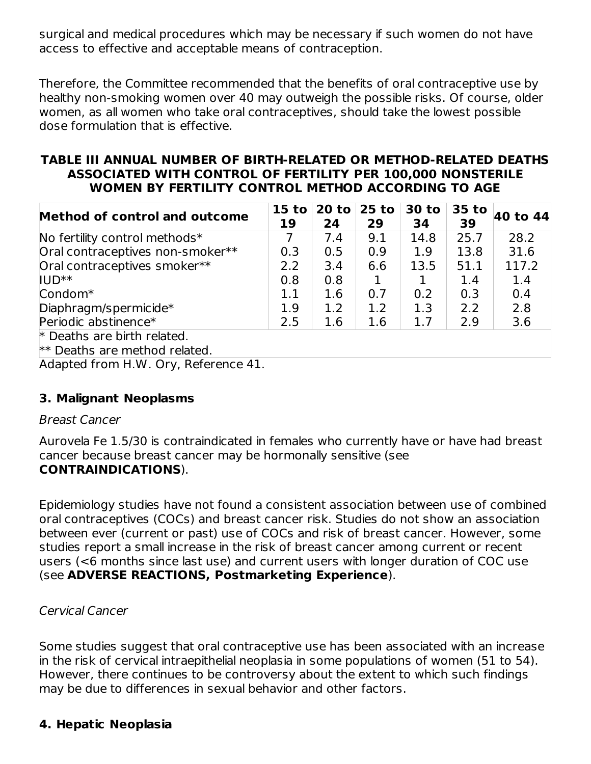surgical and medical procedures which may be necessary if such women do not have access to effective and acceptable means of contraception.

Therefore, the Committee recommended that the benefits of oral contraceptive use by healthy non-smoking women over 40 may outweigh the possible risks. Of course, older women, as all women who take oral contraceptives, should take the lowest possible dose formulation that is effective.

#### **TABLE III ANNUAL NUMBER OF BIRTH-RELATED OR METHOD-RELATED DEATHS ASSOCIATED WITH CONTROL OF FERTILITY PER 100,000 NONSTERILE WOMEN BY FERTILITY CONTROL METHOD ACCORDING TO AGE**

| <b>Method of control and outcome</b> | $15$ to | $20$ to | 25 to | 30 to | 35 to | 40 to 44 |
|--------------------------------------|---------|---------|-------|-------|-------|----------|
|                                      | 19      | 24      | 29    | 34    | 39    |          |
| No fertility control methods*        |         | 7.4     | 9.1   | 14.8  | 25.7  | 28.2     |
| Oral contraceptives non-smoker**     | 0.3     | 0.5     | 0.9   | 1.9   | 13.8  | 31.6     |
| Oral contraceptives smoker**         | 2.2     | 3.4     | 6.6   | 13.5  | 51.1  | 117.2    |
| IUD <sup>**</sup>                    | 0.8     | 0.8     |       |       | 1.4   | 1.4      |
| Condom <sup>*</sup>                  | 1.1     | 1.6     | 0.7   | 0.2   | 0.3   | 0.4      |
| $D$ iaphragm/spermicide*             | 1.9     | 1.2     | 1.2   | 1.3   | 2.2   | 2.8      |
| Periodic abstinence*                 | 2.5     | 1.6     | 1.6   | 1.7   | 2.9   | 3.6      |
| $*$ Deaths are birth related.        |         |         |       |       |       |          |
| ** Deaths are method related.        |         |         |       |       |       |          |
| Adopted from U.W. Ory Deference 11   |         |         |       |       |       |          |

Adapted from H.W. Ory, Reference 41.

#### **3. Malignant Neoplasms**

#### Breast Cancer

Aurovela Fe 1.5/30 is contraindicated in females who currently have or have had breast cancer because breast cancer may be hormonally sensitive (see **CONTRAINDICATIONS**).

Epidemiology studies have not found a consistent association between use of combined oral contraceptives (COCs) and breast cancer risk. Studies do not show an association between ever (current or past) use of COCs and risk of breast cancer. However, some studies report a small increase in the risk of breast cancer among current or recent users (<6 months since last use) and current users with longer duration of COC use (see **ADVERSE REACTIONS, Postmarketing Experience**).

#### Cervical Cancer

Some studies suggest that oral contraceptive use has been associated with an increase in the risk of cervical intraepithelial neoplasia in some populations of women (51 to 54). However, there continues to be controversy about the extent to which such findings may be due to differences in sexual behavior and other factors.

## **4. Hepatic Neoplasia**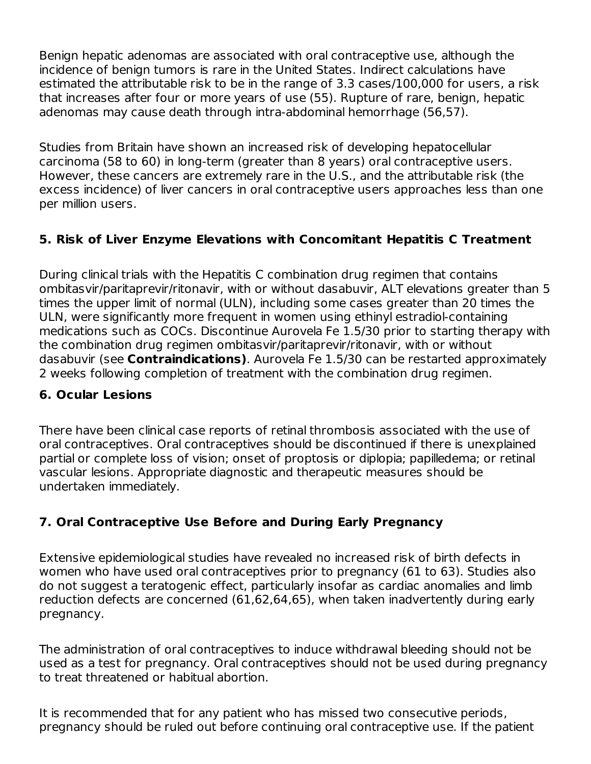Benign hepatic adenomas are associated with oral contraceptive use, although the incidence of benign tumors is rare in the United States. Indirect calculations have estimated the attributable risk to be in the range of 3.3 cases/100,000 for users, a risk that increases after four or more years of use (55). Rupture of rare, benign, hepatic adenomas may cause death through intra-abdominal hemorrhage (56,57).

Studies from Britain have shown an increased risk of developing hepatocellular carcinoma (58 to 60) in long-term (greater than 8 years) oral contraceptive users. However, these cancers are extremely rare in the U.S., and the attributable risk (the excess incidence) of liver cancers in oral contraceptive users approaches less than one per million users.

## **5. Risk of Liver Enzyme Elevations with Concomitant Hepatitis C Treatment**

During clinical trials with the Hepatitis C combination drug regimen that contains ombitasvir/paritaprevir/ritonavir, with or without dasabuvir, ALT elevations greater than 5 times the upper limit of normal (ULN), including some cases greater than 20 times the ULN, were significantly more frequent in women using ethinyl estradiol-containing medications such as COCs. Discontinue Aurovela Fe 1.5/30 prior to starting therapy with the combination drug regimen ombitasvir/paritaprevir/ritonavir, with or without dasabuvir (see **Contraindications)**. Aurovela Fe 1.5/30 can be restarted approximately 2 weeks following completion of treatment with the combination drug regimen.

## **6. Ocular Lesions**

There have been clinical case reports of retinal thrombosis associated with the use of oral contraceptives. Oral contraceptives should be discontinued if there is unexplained partial or complete loss of vision; onset of proptosis or diplopia; papilledema; or retinal vascular lesions. Appropriate diagnostic and therapeutic measures should be undertaken immediately.

# **7. Oral Contraceptive Use Before and During Early Pregnancy**

Extensive epidemiological studies have revealed no increased risk of birth defects in women who have used oral contraceptives prior to pregnancy (61 to 63). Studies also do not suggest a teratogenic effect, particularly insofar as cardiac anomalies and limb reduction defects are concerned (61,62,64,65), when taken inadvertently during early pregnancy.

The administration of oral contraceptives to induce withdrawal bleeding should not be used as a test for pregnancy. Oral contraceptives should not be used during pregnancy to treat threatened or habitual abortion.

It is recommended that for any patient who has missed two consecutive periods, pregnancy should be ruled out before continuing oral contraceptive use. If the patient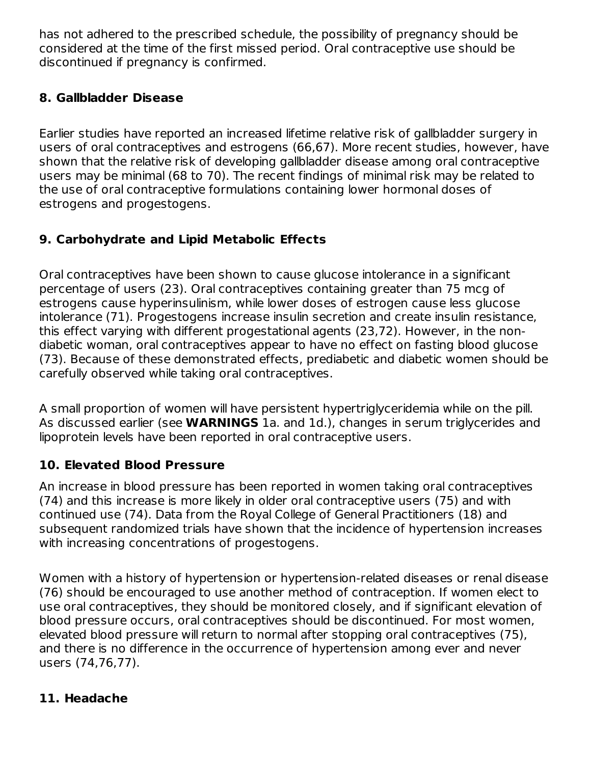has not adhered to the prescribed schedule, the possibility of pregnancy should be considered at the time of the first missed period. Oral contraceptive use should be discontinued if pregnancy is confirmed.

## **8. Gallbladder Disease**

Earlier studies have reported an increased lifetime relative risk of gallbladder surgery in users of oral contraceptives and estrogens (66,67). More recent studies, however, have shown that the relative risk of developing gallbladder disease among oral contraceptive users may be minimal (68 to 70). The recent findings of minimal risk may be related to the use of oral contraceptive formulations containing lower hormonal doses of estrogens and progestogens.

## **9. Carbohydrate and Lipid Metabolic Effects**

Oral contraceptives have been shown to cause glucose intolerance in a significant percentage of users (23). Oral contraceptives containing greater than 75 mcg of estrogens cause hyperinsulinism, while lower doses of estrogen cause less glucose intolerance (71). Progestogens increase insulin secretion and create insulin resistance, this effect varying with different progestational agents (23,72). However, in the nondiabetic woman, oral contraceptives appear to have no effect on fasting blood glucose (73). Because of these demonstrated effects, prediabetic and diabetic women should be carefully observed while taking oral contraceptives.

A small proportion of women will have persistent hypertriglyceridemia while on the pill. As discussed earlier (see **WARNINGS** 1a. and 1d.), changes in serum triglycerides and lipoprotein levels have been reported in oral contraceptive users.

## **10. Elevated Blood Pressure**

An increase in blood pressure has been reported in women taking oral contraceptives (74) and this increase is more likely in older oral contraceptive users (75) and with continued use (74). Data from the Royal College of General Practitioners (18) and subsequent randomized trials have shown that the incidence of hypertension increases with increasing concentrations of progestogens.

Women with a history of hypertension or hypertension-related diseases or renal disease (76) should be encouraged to use another method of contraception. If women elect to use oral contraceptives, they should be monitored closely, and if significant elevation of blood pressure occurs, oral contraceptives should be discontinued. For most women, elevated blood pressure will return to normal after stopping oral contraceptives (75), and there is no difference in the occurrence of hypertension among ever and never users (74,76,77).

## **11. Headache**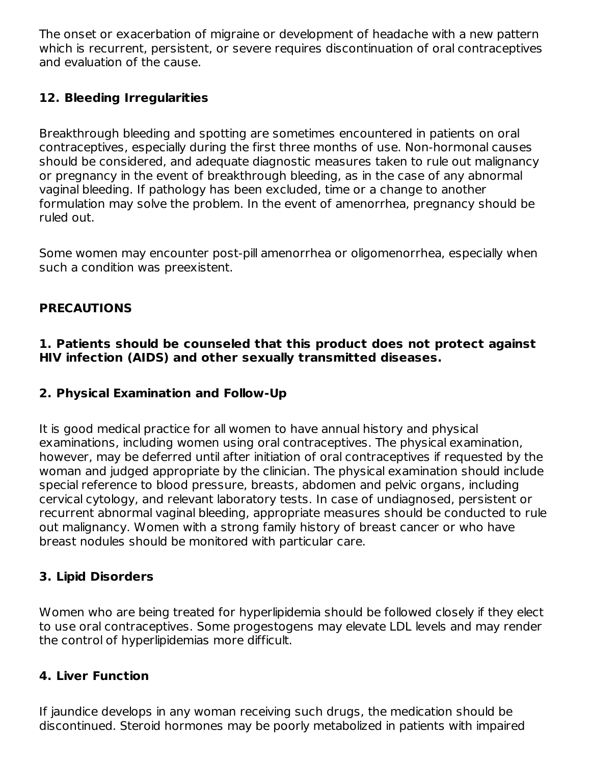The onset or exacerbation of migraine or development of headache with a new pattern which is recurrent, persistent, or severe requires discontinuation of oral contraceptives and evaluation of the cause.

## **12. Bleeding Irregularities**

Breakthrough bleeding and spotting are sometimes encountered in patients on oral contraceptives, especially during the first three months of use. Non-hormonal causes should be considered, and adequate diagnostic measures taken to rule out malignancy or pregnancy in the event of breakthrough bleeding, as in the case of any abnormal vaginal bleeding. If pathology has been excluded, time or a change to another formulation may solve the problem. In the event of amenorrhea, pregnancy should be ruled out.

Some women may encounter post-pill amenorrhea or oligomenorrhea, especially when such a condition was preexistent.

#### **PRECAUTIONS**

#### **1. Patients should be counseled that this product does not protect against HIV infection (AIDS) and other sexually transmitted diseases.**

#### **2. Physical Examination and Follow-Up**

It is good medical practice for all women to have annual history and physical examinations, including women using oral contraceptives. The physical examination, however, may be deferred until after initiation of oral contraceptives if requested by the woman and judged appropriate by the clinician. The physical examination should include special reference to blood pressure, breasts, abdomen and pelvic organs, including cervical cytology, and relevant laboratory tests. In case of undiagnosed, persistent or recurrent abnormal vaginal bleeding, appropriate measures should be conducted to rule out malignancy. Women with a strong family history of breast cancer or who have breast nodules should be monitored with particular care.

#### **3. Lipid Disorders**

Women who are being treated for hyperlipidemia should be followed closely if they elect to use oral contraceptives. Some progestogens may elevate LDL levels and may render the control of hyperlipidemias more difficult.

#### **4. Liver Function**

If jaundice develops in any woman receiving such drugs, the medication should be discontinued. Steroid hormones may be poorly metabolized in patients with impaired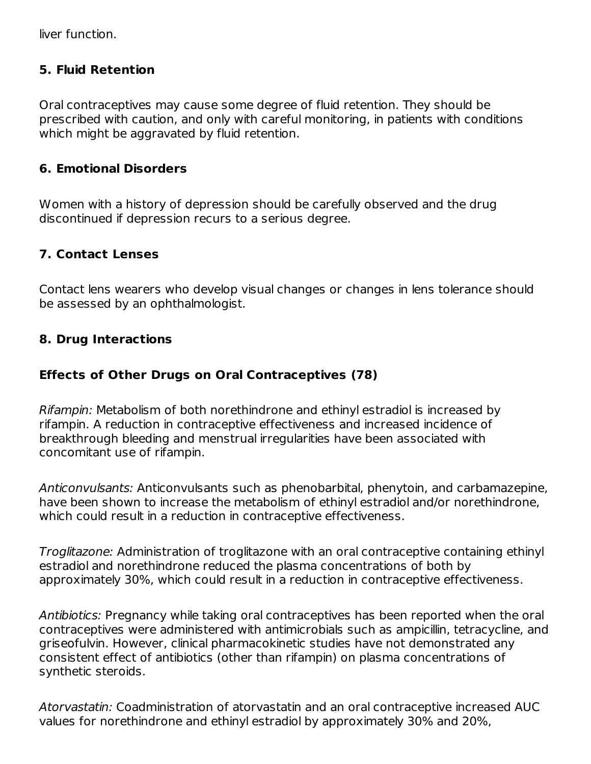liver function.

#### **5. Fluid Retention**

Oral contraceptives may cause some degree of fluid retention. They should be prescribed with caution, and only with careful monitoring, in patients with conditions which might be aggravated by fluid retention.

#### **6. Emotional Disorders**

Women with a history of depression should be carefully observed and the drug discontinued if depression recurs to a serious degree.

#### **7. Contact Lenses**

Contact lens wearers who develop visual changes or changes in lens tolerance should be assessed by an ophthalmologist.

#### **8. Drug Interactions**

#### **Effects of Other Drugs on Oral Contraceptives (78)**

Rifampin: Metabolism of both norethindrone and ethinyl estradiol is increased by rifampin. A reduction in contraceptive effectiveness and increased incidence of breakthrough bleeding and menstrual irregularities have been associated with concomitant use of rifampin.

Anticonvulsants: Anticonvulsants such as phenobarbital, phenytoin, and carbamazepine, have been shown to increase the metabolism of ethinyl estradiol and/or norethindrone, which could result in a reduction in contraceptive effectiveness.

Troglitazone: Administration of troglitazone with an oral contraceptive containing ethinyl estradiol and norethindrone reduced the plasma concentrations of both by approximately 30%, which could result in a reduction in contraceptive effectiveness.

Antibiotics: Pregnancy while taking oral contraceptives has been reported when the oral contraceptives were administered with antimicrobials such as ampicillin, tetracycline, and griseofulvin. However, clinical pharmacokinetic studies have not demonstrated any consistent effect of antibiotics (other than rifampin) on plasma concentrations of synthetic steroids.

Atorvastatin: Coadministration of atorvastatin and an oral contraceptive increased AUC values for norethindrone and ethinyl estradiol by approximately 30% and 20%,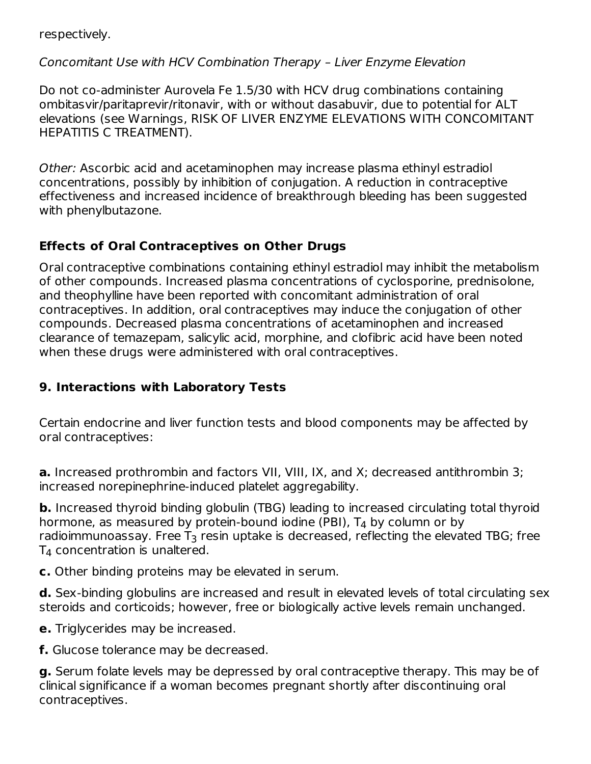respectively.

### Concomitant Use with HCV Combination Therapy – Liver Enzyme Elevation

Do not co-administer Aurovela Fe 1.5/30 with HCV drug combinations containing ombitasvir/paritaprevir/ritonavir, with or without dasabuvir, due to potential for ALT elevations (see Warnings, RISK OF LIVER ENZYME ELEVATIONS WITH CONCOMITANT HEPATITIS C TREATMENT).

Other: Ascorbic acid and acetaminophen may increase plasma ethinyl estradiol concentrations, possibly by inhibition of conjugation. A reduction in contraceptive effectiveness and increased incidence of breakthrough bleeding has been suggested with phenylbutazone.

## **Effects of Oral Contraceptives on Other Drugs**

Oral contraceptive combinations containing ethinyl estradiol may inhibit the metabolism of other compounds. Increased plasma concentrations of cyclosporine, prednisolone, and theophylline have been reported with concomitant administration of oral contraceptives. In addition, oral contraceptives may induce the conjugation of other compounds. Decreased plasma concentrations of acetaminophen and increased clearance of temazepam, salicylic acid, morphine, and clofibric acid have been noted when these drugs were administered with oral contraceptives.

#### **9. Interactions with Laboratory Tests**

Certain endocrine and liver function tests and blood components may be affected by oral contraceptives:

**a.** Increased prothrombin and factors VII, VIII, IX, and X; decreased antithrombin 3; increased norepinephrine-induced platelet aggregability.

**b.** Increased thyroid binding globulin (TBG) leading to increased circulating total thyroid hormone, as measured by protein-bound iodine (PBI),  ${\sf T}_4$  by column or by radioimmunoassay. Free T $_3$  resin uptake is decreased, reflecting the elevated TBG; free  $\mathsf{T}_4$  concentration is unaltered.

**c.** Other binding proteins may be elevated in serum.

**d.** Sex-binding globulins are increased and result in elevated levels of total circulating sex steroids and corticoids; however, free or biologically active levels remain unchanged.

**e.** Triglycerides may be increased.

**f.** Glucose tolerance may be decreased.

**g.** Serum folate levels may be depressed by oral contraceptive therapy. This may be of clinical significance if a woman becomes pregnant shortly after discontinuing oral contraceptives.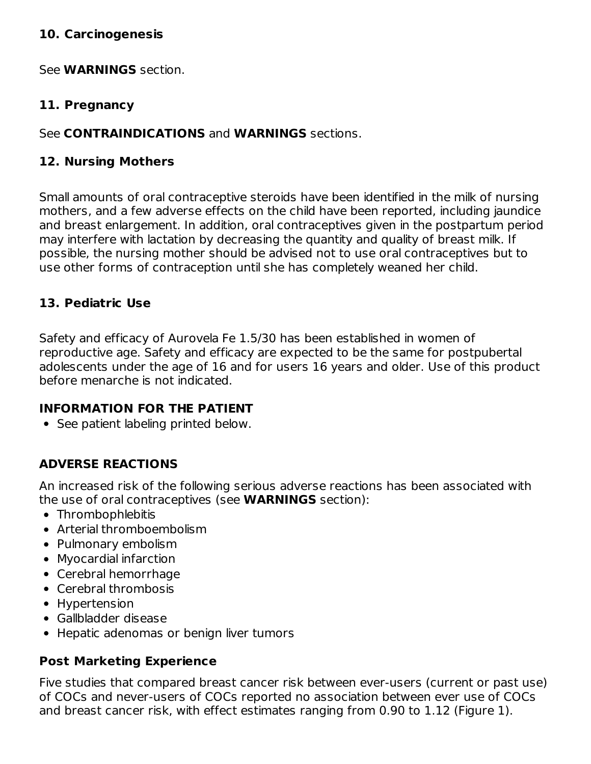#### **10. Carcinogenesis**

See **WARNINGS** section.

## **11. Pregnancy**

## See **CONTRAINDICATIONS** and **WARNINGS** sections.

# **12. Nursing Mothers**

Small amounts of oral contraceptive steroids have been identified in the milk of nursing mothers, and a few adverse effects on the child have been reported, including jaundice and breast enlargement. In addition, oral contraceptives given in the postpartum period may interfere with lactation by decreasing the quantity and quality of breast milk. If possible, the nursing mother should be advised not to use oral contraceptives but to use other forms of contraception until she has completely weaned her child.

## **13. Pediatric Use**

Safety and efficacy of Aurovela Fe 1.5/30 has been established in women of reproductive age. Safety and efficacy are expected to be the same for postpubertal adolescents under the age of 16 and for users 16 years and older. Use of this product before menarche is not indicated.

## **INFORMATION FOR THE PATIENT**

• See patient labeling printed below.

# **ADVERSE REACTIONS**

An increased risk of the following serious adverse reactions has been associated with the use of oral contraceptives (see **WARNINGS** section):

- Thrombophlebitis
- Arterial thromboembolism
- Pulmonary embolism
- Myocardial infarction
- Cerebral hemorrhage
- Cerebral thrombosis
- Hypertension
- Gallbladder disease
- Hepatic adenomas or benign liver tumors

## **Post Marketing Experience**

Five studies that compared breast cancer risk between ever-users (current or past use) of COCs and never-users of COCs reported no association between ever use of COCs and breast cancer risk, with effect estimates ranging from 0.90 to 1.12 (Figure 1).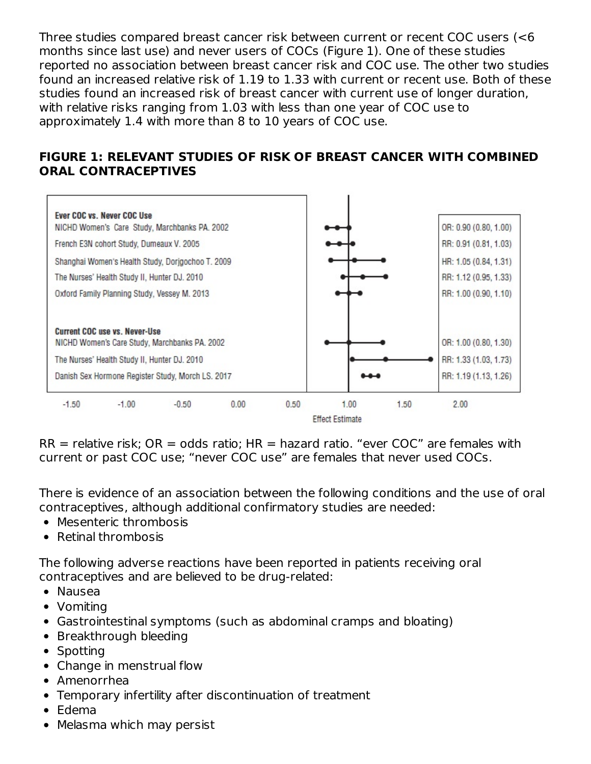Three studies compared breast cancer risk between current or recent COC users (<6 months since last use) and never users of COCs (Figure 1). One of these studies reported no association between breast cancer risk and COC use. The other two studies found an increased relative risk of 1.19 to 1.33 with current or recent use. Both of these studies found an increased risk of breast cancer with current use of longer duration, with relative risks ranging from 1.03 with less than one year of COC use to approximately 1.4 with more than 8 to 10 years of COC use.

#### **FIGURE 1: RELEVANT STUDIES OF RISK OF BREAST CANCER WITH COMBINED ORAL CONTRACEPTIVES**



 $RR =$  relative risk;  $OR =$  odds ratio;  $HR =$  hazard ratio. "ever  $COC$ " are females with current or past COC use; "never COC use" are females that never used COCs.

There is evidence of an association between the following conditions and the use of oral contraceptives, although additional confirmatory studies are needed:

- Mesenteric thrombosis
- Retinal thrombosis

The following adverse reactions have been reported in patients receiving oral contraceptives and are believed to be drug-related:

- Nausea
- Vomiting
- Gastrointestinal symptoms (such as abdominal cramps and bloating)
- Breakthrough bleeding
- Spotting
- Change in menstrual flow
- Amenorrhea
- Temporary infertility after discontinuation of treatment
- $\bullet$  Edema
- Melasma which may persist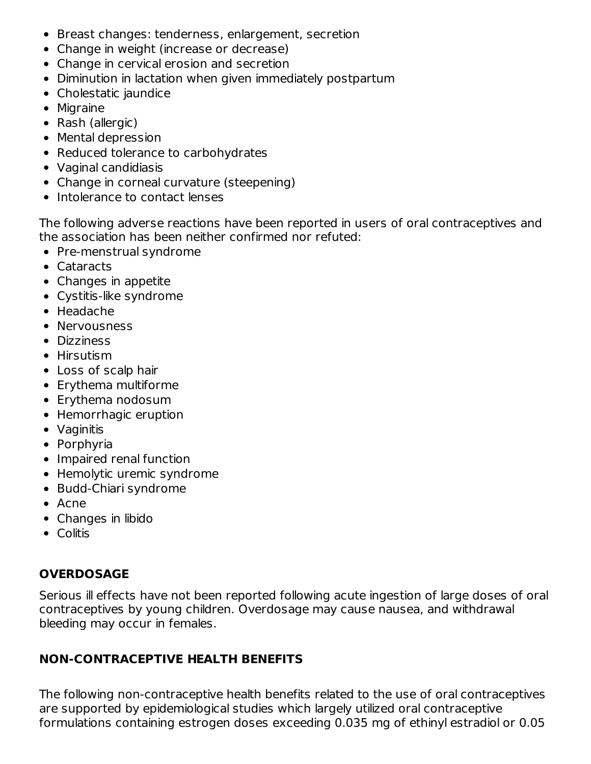- Breast changes: tenderness, enlargement, secretion
- Change in weight (increase or decrease)
- Change in cervical erosion and secretion
- Diminution in lactation when given immediately postpartum
- Cholestatic jaundice
- Migraine
- Rash (allergic)
- Mental depression
- Reduced tolerance to carbohydrates
- Vaginal candidiasis
- Change in corneal curvature (steepening)
- Intolerance to contact lenses

The following adverse reactions have been reported in users of oral contraceptives and the association has been neither confirmed nor refuted:

- Pre-menstrual syndrome
- Cataracts
- Changes in appetite
- Cystitis-like syndrome
- Headache
- Nervousness
- Dizziness
- Hirsutism
- Loss of scalp hair
- Erythema multiforme
- Erythema nodosum
- Hemorrhagic eruption
- Vaginitis
- Porphyria
- Impaired renal function
- Hemolytic uremic syndrome
- Budd-Chiari syndrome
- Acne
- Changes in libido
- Colitis

# **OVERDOSAGE**

Serious ill effects have not been reported following acute ingestion of large doses of oral contraceptives by young children. Overdosage may cause nausea, and withdrawal bleeding may occur in females.

## **NON-CONTRACEPTIVE HEALTH BENEFITS**

The following non-contraceptive health benefits related to the use of oral contraceptives are supported by epidemiological studies which largely utilized oral contraceptive formulations containing estrogen doses exceeding 0.035 mg of ethinyl estradiol or 0.05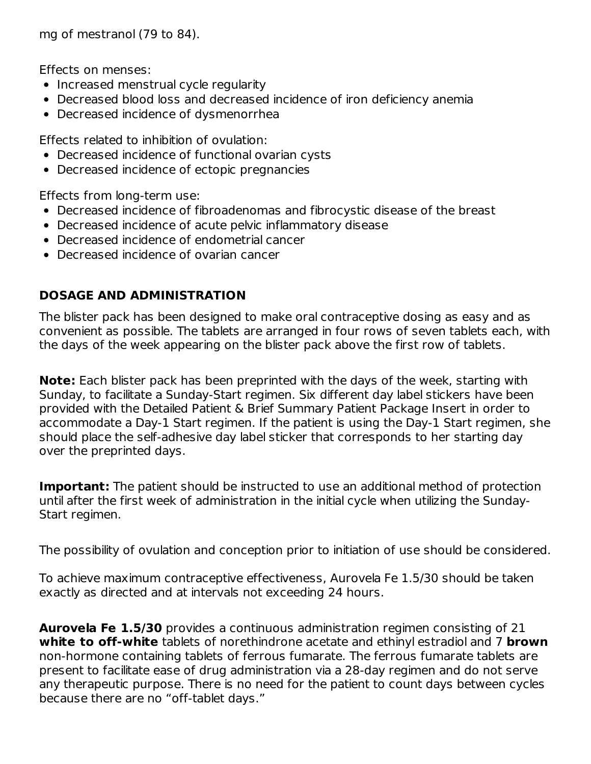mg of mestranol (79 to 84).

Effects on menses:

- Increased menstrual cycle regularity
- Decreased blood loss and decreased incidence of iron deficiency anemia
- Decreased incidence of dysmenorrhea

Effects related to inhibition of ovulation:

- Decreased incidence of functional ovarian cysts
- Decreased incidence of ectopic pregnancies

Effects from long-term use:

- Decreased incidence of fibroadenomas and fibrocystic disease of the breast
- Decreased incidence of acute pelvic inflammatory disease
- Decreased incidence of endometrial cancer
- Decreased incidence of ovarian cancer

## **DOSAGE AND ADMINISTRATION**

The blister pack has been designed to make oral contraceptive dosing as easy and as convenient as possible. The tablets are arranged in four rows of seven tablets each, with the days of the week appearing on the blister pack above the first row of tablets.

**Note:** Each blister pack has been preprinted with the days of the week, starting with Sunday, to facilitate a Sunday-Start regimen. Six different day label stickers have been provided with the Detailed Patient & Brief Summary Patient Package Insert in order to accommodate a Day-1 Start regimen. If the patient is using the Day-1 Start regimen, she should place the self-adhesive day label sticker that corresponds to her starting day over the preprinted days.

**Important:** The patient should be instructed to use an additional method of protection until after the first week of administration in the initial cycle when utilizing the Sunday-Start regimen.

The possibility of ovulation and conception prior to initiation of use should be considered.

To achieve maximum contraceptive effectiveness, Aurovela Fe 1.5/30 should be taken exactly as directed and at intervals not exceeding 24 hours.

**Aurovela Fe 1.5/30** provides a continuous administration regimen consisting of 21 **white to off-white** tablets of norethindrone acetate and ethinyl estradiol and 7 **brown** non-hormone containing tablets of ferrous fumarate. The ferrous fumarate tablets are present to facilitate ease of drug administration via a 28-day regimen and do not serve any therapeutic purpose. There is no need for the patient to count days between cycles because there are no "off-tablet days."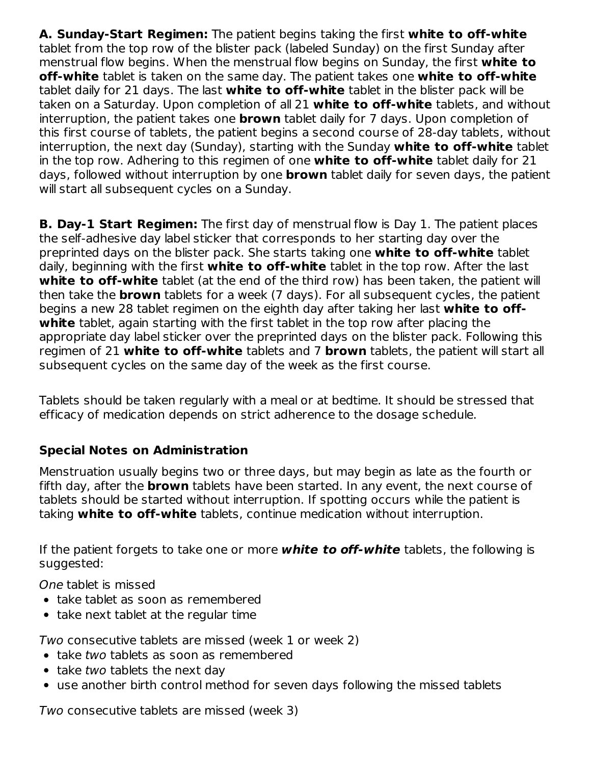**A. Sunday-Start Regimen:** The patient begins taking the first **white to off-white** tablet from the top row of the blister pack (labeled Sunday) on the first Sunday after menstrual flow begins. When the menstrual flow begins on Sunday, the first **white to off-white** tablet is taken on the same day. The patient takes one **white to off-white** tablet daily for 21 days. The last **white to off-white** tablet in the blister pack will be taken on a Saturday. Upon completion of all 21 **white to off-white** tablets, and without interruption, the patient takes one **brown** tablet daily for 7 days. Upon completion of this first course of tablets, the patient begins a second course of 28-day tablets, without interruption, the next day (Sunday), starting with the Sunday **white to off-white** tablet in the top row. Adhering to this regimen of one **white to off-white** tablet daily for 21 days, followed without interruption by one **brown** tablet daily for seven days, the patient will start all subsequent cycles on a Sunday.

**B. Day-1 Start Regimen:** The first day of menstrual flow is Day 1. The patient places the self-adhesive day label sticker that corresponds to her starting day over the preprinted days on the blister pack. She starts taking one **white to off-white** tablet daily, beginning with the first **white to off-white** tablet in the top row. After the last **white to off-white** tablet (at the end of the third row) has been taken, the patient will then take the **brown** tablets for a week (7 days). For all subsequent cycles, the patient begins a new 28 tablet regimen on the eighth day after taking her last **white to offwhite** tablet, again starting with the first tablet in the top row after placing the appropriate day label sticker over the preprinted days on the blister pack. Following this regimen of 21 **white to off-white** tablets and 7 **brown** tablets, the patient will start all subsequent cycles on the same day of the week as the first course.

Tablets should be taken regularly with a meal or at bedtime. It should be stressed that efficacy of medication depends on strict adherence to the dosage schedule.

## **Special Notes on Administration**

Menstruation usually begins two or three days, but may begin as late as the fourth or fifth day, after the **brown** tablets have been started. In any event, the next course of tablets should be started without interruption. If spotting occurs while the patient is taking **white to off-white** tablets, continue medication without interruption.

If the patient forgets to take one or more **white to off-white** tablets, the following is suggested:

One tablet is missed

- take tablet as soon as remembered
- take next tablet at the regular time

Two consecutive tablets are missed (week 1 or week 2)

- take two tablets as soon as remembered
- take two tablets the next day
- use another birth control method for seven days following the missed tablets

Two consecutive tablets are missed (week 3)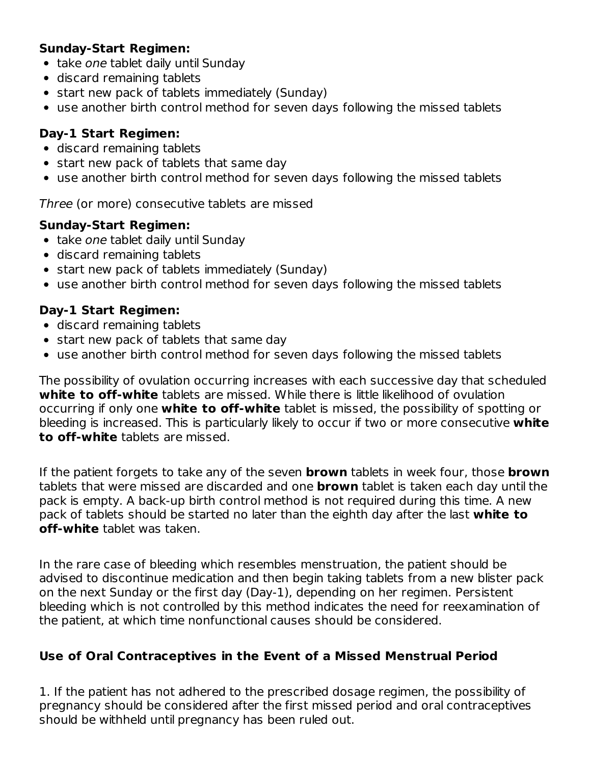#### **Sunday-Start Regimen:**

- take one tablet daily until Sunday
- discard remaining tablets
- start new pack of tablets immediately (Sunday)
- use another birth control method for seven days following the missed tablets

### **Day-1 Start Regimen:**

- discard remaining tablets
- start new pack of tablets that same day
- use another birth control method for seven days following the missed tablets

Three (or more) consecutive tablets are missed

#### **Sunday-Start Regimen:**

- take one tablet daily until Sunday
- discard remaining tablets
- start new pack of tablets immediately (Sunday)
- use another birth control method for seven days following the missed tablets

#### **Day-1 Start Regimen:**

- discard remaining tablets
- start new pack of tablets that same day
- use another birth control method for seven days following the missed tablets

The possibility of ovulation occurring increases with each successive day that scheduled **white to off-white** tablets are missed. While there is little likelihood of ovulation occurring if only one **white to off-white** tablet is missed, the possibility of spotting or bleeding is increased. This is particularly likely to occur if two or more consecutive **white to off-white** tablets are missed.

If the patient forgets to take any of the seven **brown** tablets in week four, those **brown** tablets that were missed are discarded and one **brown** tablet is taken each day until the pack is empty. A back-up birth control method is not required during this time. A new pack of tablets should be started no later than the eighth day after the last **white to off-white** tablet was taken.

In the rare case of bleeding which resembles menstruation, the patient should be advised to discontinue medication and then begin taking tablets from a new blister pack on the next Sunday or the first day (Day-1), depending on her regimen. Persistent bleeding which is not controlled by this method indicates the need for reexamination of the patient, at which time nonfunctional causes should be considered.

## **Use of Oral Contraceptives in the Event of a Missed Menstrual Period**

1. If the patient has not adhered to the prescribed dosage regimen, the possibility of pregnancy should be considered after the first missed period and oral contraceptives should be withheld until pregnancy has been ruled out.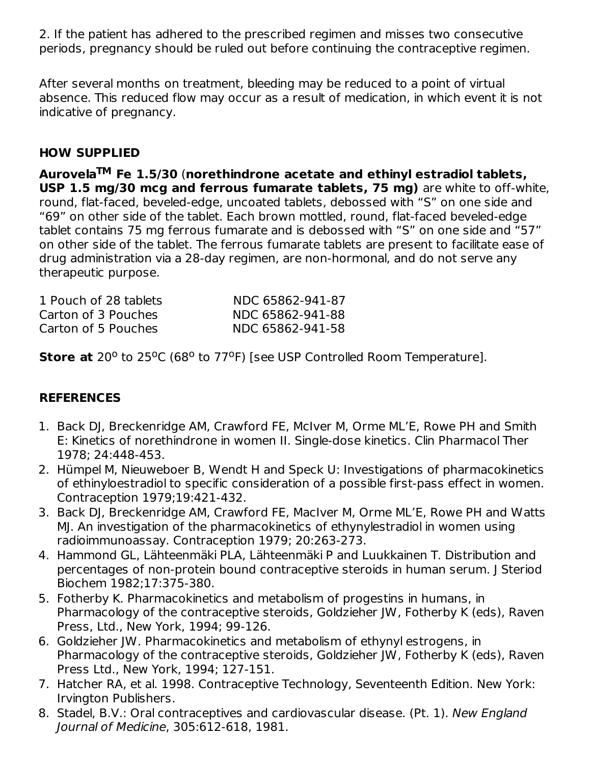2. If the patient has adhered to the prescribed regimen and misses two consecutive periods, pregnancy should be ruled out before continuing the contraceptive regimen.

After several months on treatment, bleeding may be reduced to a point of virtual absence. This reduced flow may occur as a result of medication, in which event it is not indicative of pregnancy.

## **HOW SUPPLIED**

**Aurovela Fe 1.5/30** (**norethindrone acetate and ethinyl estradiol tablets, TM USP 1.5 mg/30 mcg and ferrous fumarate tablets, 75 mg)** are white to off-white, round, flat-faced, beveled-edge, uncoated tablets, debossed with "S" on one side and "69" on other side of the tablet. Each brown mottled, round, flat-faced beveled-edge tablet contains 75 mg ferrous fumarate and is debossed with "S" on one side and "57" on other side of the tablet. The ferrous fumarate tablets are present to facilitate ease of drug administration via a 28-day regimen, are non-hormonal, and do not serve any therapeutic purpose.

| 1 Pouch of 28 tablets | NDC 65862-941-87 |
|-----------------------|------------------|
| Carton of 3 Pouches   | NDC 65862-941-88 |
| Carton of 5 Pouches   | NDC 65862-941-58 |

**Store at** 20<sup>°</sup> to 25<sup>°</sup>C (68<sup>°</sup> to 77<sup>°</sup>F) [see USP Controlled Room Temperature].

#### **REFERENCES**

- 1. Back DJ, Breckenridge AM, Crawford FE, McIver M, Orme ML'E, Rowe PH and Smith E: Kinetics of norethindrone in women II. Single-dose kinetics. Clin Pharmacol Ther 1978; 24:448-453.
- 2. Hümpel M, Nieuweboer B, Wendt H and Speck U: Investigations of pharmacokinetics of ethinyloestradiol to specific consideration of a possible first-pass effect in women. Contraception 1979;19:421-432.
- 3. Back DJ, Breckenridge AM, Crawford FE, MacIver M, Orme ML'E, Rowe PH and Watts MJ. An investigation of the pharmacokinetics of ethynylestradiol in women using radioimmunoassay. Contraception 1979; 20:263-273.
- 4. Hammond GL, Lähteenmäki PLA, Lähteenmäki P and Luukkainen T. Distribution and percentages of non-protein bound contraceptive steroids in human serum. J Steriod Biochem 1982;17:375-380.
- 5. Fotherby K. Pharmacokinetics and metabolism of progestins in humans, in Pharmacology of the contraceptive steroids, Goldzieher JW, Fotherby K (eds), Raven Press, Ltd., New York, 1994; 99-126.
- 6. Goldzieher JW. Pharmacokinetics and metabolism of ethynyl estrogens, in Pharmacology of the contraceptive steroids, Goldzieher JW, Fotherby K (eds), Raven Press Ltd., New York, 1994; 127-151.
- 7. Hatcher RA, et al. 1998. Contraceptive Technology, Seventeenth Edition. New York: Irvington Publishers.
- 8. Stadel, B.V.: Oral contraceptives and cardiovascular disease. (Pt. 1). New England Journal of Medicine, 305:612-618, 1981.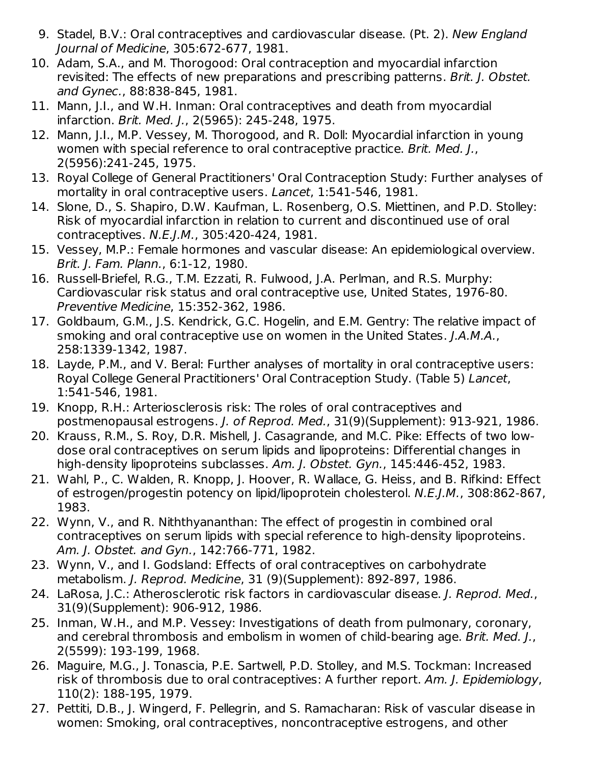- 9. Stadel, B.V.: Oral contraceptives and cardiovascular disease. (Pt. 2). New England Journal of Medicine, 305:672-677, 1981.
- 10. Adam, S.A., and M. Thorogood: Oral contraception and myocardial infarction revisited: The effects of new preparations and prescribing patterns. Brit. J. Obstet. and Gynec., 88:838-845, 1981.
- 11. Mann, J.I., and W.H. Inman: Oral contraceptives and death from myocardial infarction. Brit. Med. J., 2(5965): 245-248, 1975.
- 12. Mann, J.I., M.P. Vessey, M. Thorogood, and R. Doll: Myocardial infarction in young women with special reference to oral contraceptive practice. Brit. Med. [..] 2(5956):241-245, 1975.
- 13. Royal College of General Practitioners' Oral Contraception Study: Further analyses of mortality in oral contraceptive users. Lancet, 1:541-546, 1981.
- 14. Slone, D., S. Shapiro, D.W. Kaufman, L. Rosenberg, O.S. Miettinen, and P.D. Stolley: Risk of myocardial infarction in relation to current and discontinued use of oral contraceptives. N.E.J.M., 305:420-424, 1981.
- 15. Vessey, M.P.: Female hormones and vascular disease: An epidemiological overview. Brit. J. Fam. Plann., 6:1-12, 1980.
- 16. Russell-Briefel, R.G., T.M. Ezzati, R. Fulwood, J.A. Perlman, and R.S. Murphy: Cardiovascular risk status and oral contraceptive use, United States, 1976-80. Preventive Medicine, 15:352-362, 1986.
- 17. Goldbaum, G.M., J.S. Kendrick, G.C. Hogelin, and E.M. Gentry: The relative impact of smoking and oral contraceptive use on women in the United States. J.A.M.A., 258:1339-1342, 1987.
- 18. Layde, P.M., and V. Beral: Further analyses of mortality in oral contraceptive users: Royal College General Practitioners' Oral Contraception Study. (Table 5) Lancet, 1:541-546, 1981.
- 19. Knopp, R.H.: Arteriosclerosis risk: The roles of oral contraceptives and postmenopausal estrogens. J. of Reprod. Med., 31(9)(Supplement): 913-921, 1986.
- 20. Krauss, R.M., S. Roy, D.R. Mishell, J. Casagrande, and M.C. Pike: Effects of two lowdose oral contraceptives on serum lipids and lipoproteins: Differential changes in high-density lipoproteins subclasses. Am. J. Obstet. Gyn., 145:446-452, 1983.
- 21. Wahl, P., C. Walden, R. Knopp, J. Hoover, R. Wallace, G. Heiss, and B. Rifkind: Effect of estrogen/progestin potency on lipid/lipoprotein cholesterol. N.E.J.M., 308:862-867, 1983.
- 22. Wynn, V., and R. Niththyananthan: The effect of progestin in combined oral contraceptives on serum lipids with special reference to high-density lipoproteins. Am. J. Obstet. and Gyn., 142:766-771, 1982.
- 23. Wynn, V., and I. Godsland: Effects of oral contraceptives on carbohydrate metabolism. J. Reprod. Medicine, 31 (9)(Supplement): 892-897, 1986.
- 24. LaRosa, J.C.: Atherosclerotic risk factors in cardiovascular disease. J. Reprod. Med., 31(9)(Supplement): 906-912, 1986.
- 25. Inman, W.H., and M.P. Vessey: Investigations of death from pulmonary, coronary, and cerebral thrombosis and embolism in women of child-bearing age. Brit. Med. J., 2(5599): 193-199, 1968.
- 26. Maguire, M.G., J. Tonascia, P.E. Sartwell, P.D. Stolley, and M.S. Tockman: Increased risk of thrombosis due to oral contraceptives: A further report. Am. J. Epidemiology, 110(2): 188-195, 1979.
- 27. Pettiti, D.B., J. Wingerd, F. Pellegrin, and S. Ramacharan: Risk of vascular disease in women: Smoking, oral contraceptives, noncontraceptive estrogens, and other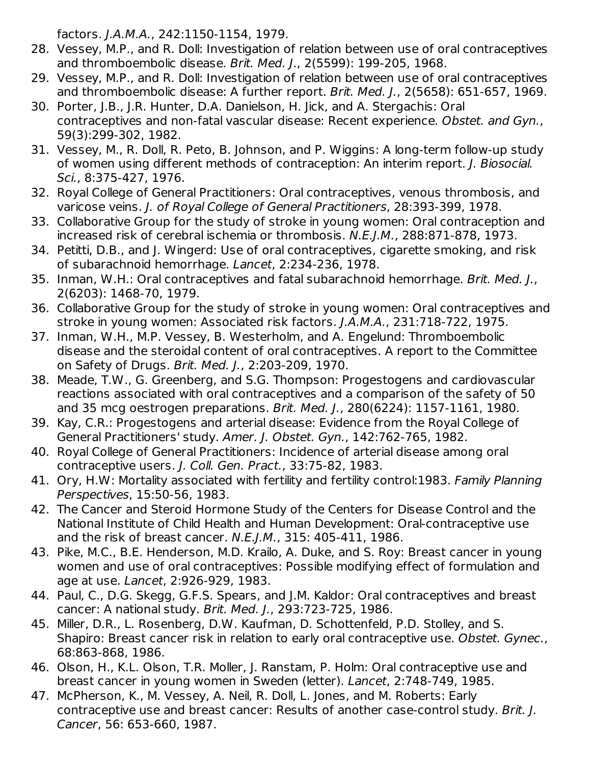factors. J.A.M.A., 242:1150-1154, 1979.

- 28. Vessey, M.P., and R. Doll: Investigation of relation between use of oral contraceptives and thromboembolic disease. Brit. Med. J., 2(5599): 199-205, 1968.
- 29. Vessey, M.P., and R. Doll: Investigation of relation between use of oral contraceptives and thromboembolic disease: A further report. Brit. Med. J., 2(5658): 651-657, 1969.
- 30. Porter, J.B., J.R. Hunter, D.A. Danielson, H. Jick, and A. Stergachis: Oral contraceptives and non-fatal vascular disease: Recent experience. Obstet. and Gyn., 59(3):299-302, 1982.
- 31. Vessey, M., R. Doll, R. Peto, B. Johnson, and P. Wiggins: A long-term follow-up study of women using different methods of contraception: An interim report. J. Biosocial. Sci., 8:375-427, 1976.
- 32. Royal College of General Practitioners: Oral contraceptives, venous thrombosis, and varicose veins. J. of Royal College of General Practitioners, 28:393-399, 1978.
- 33. Collaborative Group for the study of stroke in young women: Oral contraception and increased risk of cerebral ischemia or thrombosis. N.E.J.M., 288:871-878, 1973.
- 34. Petitti, D.B., and J. Wingerd: Use of oral contraceptives, cigarette smoking, and risk of subarachnoid hemorrhage. Lancet, 2:234-236, 1978.
- 35. Inman, W.H.: Oral contraceptives and fatal subarachnoid hemorrhage. Brit. Med. J., 2(6203): 1468-70, 1979.
- 36. Collaborative Group for the study of stroke in young women: Oral contraceptives and stroke in young women: Associated risk factors. J.A.M.A., 231:718-722, 1975.
- 37. Inman, W.H., M.P. Vessey, B. Westerholm, and A. Engelund: Thromboembolic disease and the steroidal content of oral contraceptives. A report to the Committee on Safety of Drugs. Brit. Med. J., 2:203-209, 1970.
- 38. Meade, T.W., G. Greenberg, and S.G. Thompson: Progestogens and cardiovascular reactions associated with oral contraceptives and a comparison of the safety of 50 and 35 mcg oestrogen preparations. Brit. Med. J., 280(6224): 1157-1161, 1980.
- 39. Kay, C.R.: Progestogens and arterial disease: Evidence from the Royal College of General Practitioners' study. Amer. J. Obstet. Gyn., 142:762-765, 1982.
- 40. Royal College of General Practitioners: Incidence of arterial disease among oral contraceptive users. J. Coll. Gen. Pract., 33:75-82, 1983.
- 41. Ory, H.W: Mortality associated with fertility and fertility control: 1983. Family Planning Perspectives, 15:50-56, 1983.
- 42. The Cancer and Steroid Hormone Study of the Centers for Disease Control and the National Institute of Child Health and Human Development: Oral-contraceptive use and the risk of breast cancer. N.E.J.M., 315: 405-411, 1986.
- 43. Pike, M.C., B.E. Henderson, M.D. Krailo, A. Duke, and S. Roy: Breast cancer in young women and use of oral contraceptives: Possible modifying effect of formulation and age at use. Lancet, 2:926-929, 1983.
- 44. Paul, C., D.G. Skegg, G.F.S. Spears, and J.M. Kaldor: Oral contraceptives and breast cancer: A national study. Brit. Med. J., 293:723-725, 1986.
- 45. Miller, D.R., L. Rosenberg, D.W. Kaufman, D. Schottenfeld, P.D. Stolley, and S. Shapiro: Breast cancer risk in relation to early oral contraceptive use. Obstet. Gynec., 68:863-868, 1986.
- 46. Olson, H., K.L. Olson, T.R. Moller, J. Ranstam, P. Holm: Oral contraceptive use and breast cancer in young women in Sweden (letter). Lancet, 2:748-749, 1985.
- 47. McPherson, K., M. Vessey, A. Neil, R. Doll, L. Jones, and M. Roberts: Early contraceptive use and breast cancer: Results of another case-control study. Brit. J. Cancer, 56: 653-660, 1987.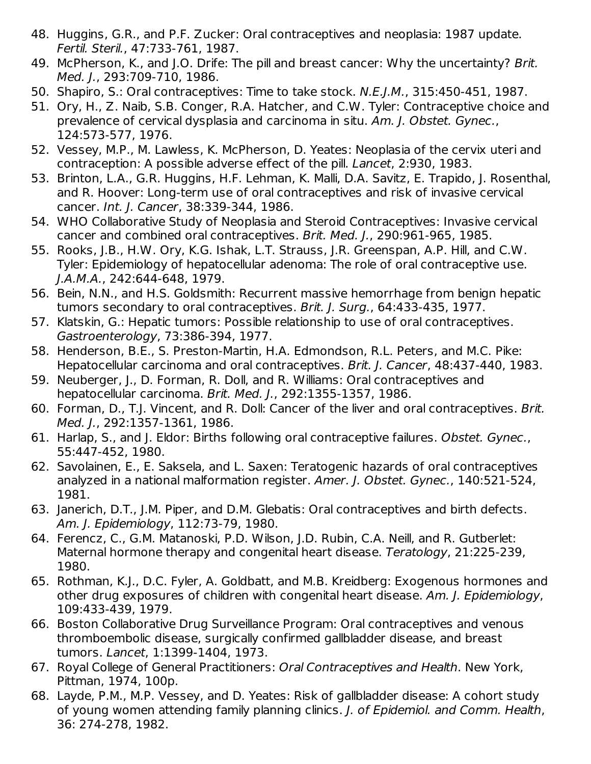- 48. Huggins, G.R., and P.F. Zucker: Oral contraceptives and neoplasia: 1987 update. Fertil. Steril., 47:733-761, 1987.
- 49. McPherson, K., and J.O. Drife: The pill and breast cancer: Why the uncertainty? Brit. Med. J., 293:709-710, 1986.
- 50. Shapiro, S.: Oral contraceptives: Time to take stock. N.E.J.M., 315:450-451, 1987.
- 51. Ory, H., Z. Naib, S.B. Conger, R.A. Hatcher, and C.W. Tyler: Contraceptive choice and prevalence of cervical dysplasia and carcinoma in situ. Am. J. Obstet. Gynec., 124:573-577, 1976.
- 52. Vessey, M.P., M. Lawless, K. McPherson, D. Yeates: Neoplasia of the cervix uteri and contraception: A possible adverse effect of the pill. Lancet, 2:930, 1983.
- 53. Brinton, L.A., G.R. Huggins, H.F. Lehman, K. Malli, D.A. Savitz, E. Trapido, J. Rosenthal, and R. Hoover: Long-term use of oral contraceptives and risk of invasive cervical cancer. Int. J. Cancer, 38:339-344, 1986.
- 54. WHO Collaborative Study of Neoplasia and Steroid Contraceptives: Invasive cervical cancer and combined oral contraceptives. Brit. Med. J., 290:961-965, 1985.
- 55. Rooks, J.B., H.W. Ory, K.G. Ishak, L.T. Strauss, J.R. Greenspan, A.P. Hill, and C.W. Tyler: Epidemiology of hepatocellular adenoma: The role of oral contraceptive use. J.A.M.A., 242:644-648, 1979.
- 56. Bein, N.N., and H.S. Goldsmith: Recurrent massive hemorrhage from benign hepatic tumors secondary to oral contraceptives. Brit. J. Surg., 64:433-435, 1977.
- 57. Klatskin, G.: Hepatic tumors: Possible relationship to use of oral contraceptives. Gastroenterology, 73:386-394, 1977.
- 58. Henderson, B.E., S. Preston-Martin, H.A. Edmondson, R.L. Peters, and M.C. Pike: Hepatocellular carcinoma and oral contraceptives. Brit. J. Cancer, 48:437-440, 1983.
- 59. Neuberger, J., D. Forman, R. Doll, and R. Williams: Oral contraceptives and hepatocellular carcinoma. Brit. Med. J., 292:1355-1357, 1986.
- 60. Forman, D., T.J. Vincent, and R. Doll: Cancer of the liver and oral contraceptives. Brit. Med. J., 292:1357-1361, 1986.
- 61. Harlap, S., and J. Eldor: Births following oral contraceptive failures. Obstet. Gynec., 55:447-452, 1980.
- 62. Savolainen, E., E. Saksela, and L. Saxen: Teratogenic hazards of oral contraceptives analyzed in a national malformation register. Amer. J. Obstet. Gynec., 140:521-524, 1981.
- 63. Janerich, D.T., J.M. Piper, and D.M. Glebatis: Oral contraceptives and birth defects. Am. J. Epidemiology, 112:73-79, 1980.
- 64. Ferencz, C., G.M. Matanoski, P.D. Wilson, J.D. Rubin, C.A. Neill, and R. Gutberlet: Maternal hormone therapy and congenital heart disease. Teratology, 21:225-239, 1980.
- 65. Rothman, K.J., D.C. Fyler, A. Goldbatt, and M.B. Kreidberg: Exogenous hormones and other drug exposures of children with congenital heart disease. Am. I. Epidemiology, 109:433-439, 1979.
- 66. Boston Collaborative Drug Surveillance Program: Oral contraceptives and venous thromboembolic disease, surgically confirmed gallbladder disease, and breast tumors. Lancet, 1:1399-1404, 1973.
- 67. Royal College of General Practitioners: Oral Contraceptives and Health. New York, Pittman, 1974, 100p.
- 68. Layde, P.M., M.P. Vessey, and D. Yeates: Risk of gallbladder disease: A cohort study of young women attending family planning clinics. J. of Epidemiol. and Comm. Health, 36: 274-278, 1982.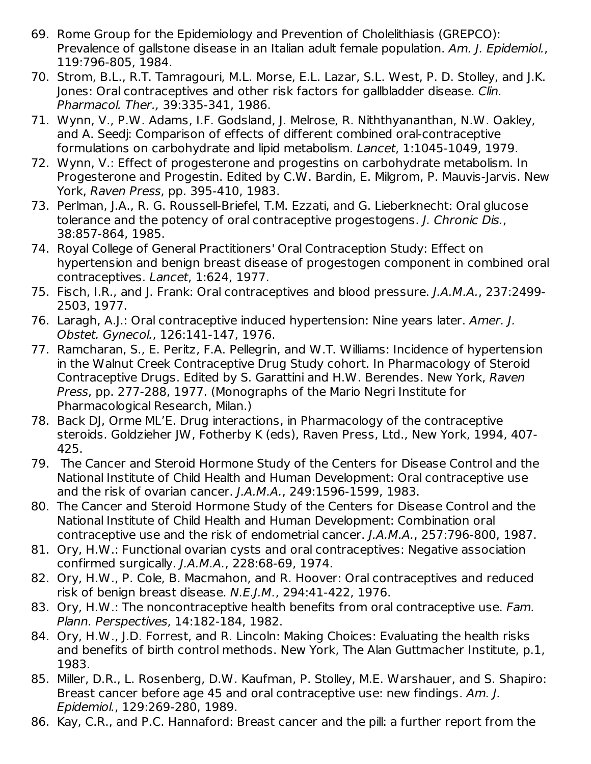- 69. Rome Group for the Epidemiology and Prevention of Cholelithiasis (GREPCO): Prevalence of gallstone disease in an Italian adult female population. Am. J. Epidemiol., 119:796-805, 1984.
- 70. Strom, B.L., R.T. Tamragouri, M.L. Morse, E.L. Lazar, S.L. West, P. D. Stolley, and J.K. Jones: Oral contraceptives and other risk factors for gallbladder disease. Clin. Pharmacol. Ther., 39:335-341, 1986.
- 71. Wynn, V., P.W. Adams, I.F. Godsland, J. Melrose, R. Niththyananthan, N.W. Oakley, and A. Seedj: Comparison of effects of different combined oral-contraceptive formulations on carbohydrate and lipid metabolism. Lancet, 1:1045-1049, 1979.
- 72. Wynn, V.: Effect of progesterone and progestins on carbohydrate metabolism. In Progesterone and Progestin. Edited by C.W. Bardin, E. Milgrom, P. Mauvis-Jarvis. New York, Raven Press, pp. 395-410, 1983.
- 73. Perlman, J.A., R. G. Roussell-Briefel, T.M. Ezzati, and G. Lieberknecht: Oral glucose tolerance and the potency of oral contraceptive progestogens. J. Chronic Dis., 38:857-864, 1985.
- 74. Royal College of General Practitioners' Oral Contraception Study: Effect on hypertension and benign breast disease of progestogen component in combined oral contraceptives. Lancet, 1:624, 1977.
- 75. Fisch, I.R., and J. Frank: Oral contraceptives and blood pressure. J.A.M.A., 237:2499- 2503, 1977.
- 76. Laragh, A.J.: Oral contraceptive induced hypertension: Nine years later. Amer. J. Obstet. Gynecol., 126:141-147, 1976.
- 77. Ramcharan, S., E. Peritz, F.A. Pellegrin, and W.T. Williams: Incidence of hypertension in the Walnut Creek Contraceptive Drug Study cohort. In Pharmacology of Steroid Contraceptive Drugs. Edited by S. Garattini and H.W. Berendes. New York, Raven Press, pp. 277-288, 1977. (Monographs of the Mario Negri Institute for Pharmacological Research, Milan.)
- 78. Back DJ, Orme ML'E. Drug interactions, in Pharmacology of the contraceptive steroids. Goldzieher JW, Fotherby K (eds), Raven Press, Ltd., New York, 1994, 407- 425.
- 79. The Cancer and Steroid Hormone Study of the Centers for Disease Control and the National Institute of Child Health and Human Development: Oral contraceptive use and the risk of ovarian cancer. J.A.M.A., 249:1596-1599, 1983.
- 80. The Cancer and Steroid Hormone Study of the Centers for Disease Control and the National Institute of Child Health and Human Development: Combination oral contraceptive use and the risk of endometrial cancer. J.A.M.A., 257:796-800, 1987.
- 81. Ory, H.W.: Functional ovarian cysts and oral contraceptives: Negative association confirmed surgically. J.A.M.A., 228:68-69, 1974.
- 82. Ory, H.W., P. Cole, B. Macmahon, and R. Hoover: Oral contraceptives and reduced risk of benign breast disease. N.E.J.M., 294:41-422, 1976.
- 83. Ory, H.W.: The noncontraceptive health benefits from oral contraceptive use. Fam. Plann. Perspectives, 14:182-184, 1982.
- 84. Ory, H.W., J.D. Forrest, and R. Lincoln: Making Choices: Evaluating the health risks and benefits of birth control methods. New York, The Alan Guttmacher Institute, p.1, 1983.
- 85. Miller, D.R., L. Rosenberg, D.W. Kaufman, P. Stolley, M.E. Warshauer, and S. Shapiro: Breast cancer before age 45 and oral contraceptive use: new findings. Am. J. Epidemiol., 129:269-280, 1989.
- 86. Kay, C.R., and P.C. Hannaford: Breast cancer and the pill: a further report from the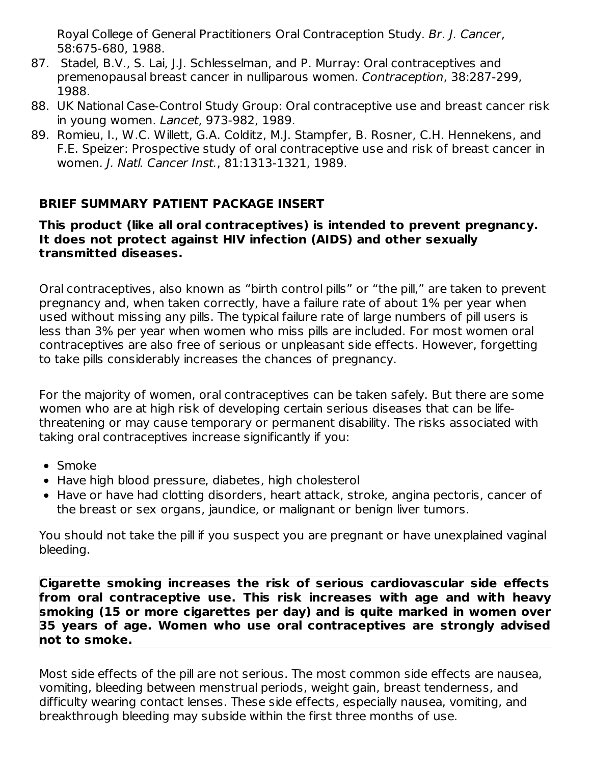Royal College of General Practitioners Oral Contraception Study. Br. J. Cancer, 58:675-680, 1988.

- 87. Stadel, B.V., S. Lai, J.J. Schlesselman, and P. Murray: Oral contraceptives and premenopausal breast cancer in nulliparous women. Contraception, 38:287-299, 1988.
- 88. UK National Case-Control Study Group: Oral contraceptive use and breast cancer risk in young women. Lancet, 973-982, 1989.
- 89. Romieu, I., W.C. Willett, G.A. Colditz, M.J. Stampfer, B. Rosner, C.H. Hennekens, and F.E. Speizer: Prospective study of oral contraceptive use and risk of breast cancer in women. J. Natl. Cancer Inst., 81:1313-1321, 1989.

#### **BRIEF SUMMARY PATIENT PACKAGE INSERT**

#### **This product (like all oral contraceptives) is intended to prevent pregnancy. It does not protect against HIV infection (AIDS) and other sexually transmitted diseases.**

Oral contraceptives, also known as "birth control pills" or "the pill," are taken to prevent pregnancy and, when taken correctly, have a failure rate of about 1% per year when used without missing any pills. The typical failure rate of large numbers of pill users is less than 3% per year when women who miss pills are included. For most women oral contraceptives are also free of serious or unpleasant side effects. However, forgetting to take pills considerably increases the chances of pregnancy.

For the majority of women, oral contraceptives can be taken safely. But there are some women who are at high risk of developing certain serious diseases that can be lifethreatening or may cause temporary or permanent disability. The risks associated with taking oral contraceptives increase significantly if you:

- Smoke
- Have high blood pressure, diabetes, high cholesterol
- Have or have had clotting disorders, heart attack, stroke, angina pectoris, cancer of the breast or sex organs, jaundice, or malignant or benign liver tumors.

You should not take the pill if you suspect you are pregnant or have unexplained vaginal bleeding.

**Cigarette smoking increases the risk of serious cardiovascular side effects from oral contraceptive use. This risk increases with age and with heavy smoking (15 or more cigarettes per day) and is quite marked in women over 35 years of age. Women who use oral contraceptives are strongly advised not to smoke.**

Most side effects of the pill are not serious. The most common side effects are nausea, vomiting, bleeding between menstrual periods, weight gain, breast tenderness, and difficulty wearing contact lenses. These side effects, especially nausea, vomiting, and breakthrough bleeding may subside within the first three months of use.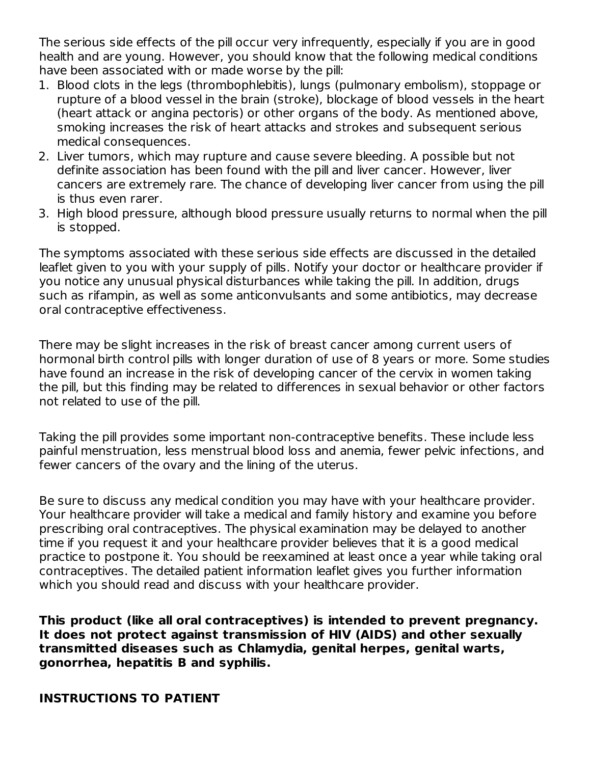The serious side effects of the pill occur very infrequently, especially if you are in good health and are young. However, you should know that the following medical conditions have been associated with or made worse by the pill:

- 1. Blood clots in the legs (thrombophlebitis), lungs (pulmonary embolism), stoppage or rupture of a blood vessel in the brain (stroke), blockage of blood vessels in the heart (heart attack or angina pectoris) or other organs of the body. As mentioned above, smoking increases the risk of heart attacks and strokes and subsequent serious medical consequences.
- 2. Liver tumors, which may rupture and cause severe bleeding. A possible but not definite association has been found with the pill and liver cancer. However, liver cancers are extremely rare. The chance of developing liver cancer from using the pill is thus even rarer.
- 3. High blood pressure, although blood pressure usually returns to normal when the pill is stopped.

The symptoms associated with these serious side effects are discussed in the detailed leaflet given to you with your supply of pills. Notify your doctor or healthcare provider if you notice any unusual physical disturbances while taking the pill. In addition, drugs such as rifampin, as well as some anticonvulsants and some antibiotics, may decrease oral contraceptive effectiveness.

There may be slight increases in the risk of breast cancer among current users of hormonal birth control pills with longer duration of use of 8 years or more. Some studies have found an increase in the risk of developing cancer of the cervix in women taking the pill, but this finding may be related to differences in sexual behavior or other factors not related to use of the pill.

Taking the pill provides some important non-contraceptive benefits. These include less painful menstruation, less menstrual blood loss and anemia, fewer pelvic infections, and fewer cancers of the ovary and the lining of the uterus.

Be sure to discuss any medical condition you may have with your healthcare provider. Your healthcare provider will take a medical and family history and examine you before prescribing oral contraceptives. The physical examination may be delayed to another time if you request it and your healthcare provider believes that it is a good medical practice to postpone it. You should be reexamined at least once a year while taking oral contraceptives. The detailed patient information leaflet gives you further information which you should read and discuss with your healthcare provider.

**This product (like all oral contraceptives) is intended to prevent pregnancy. It does not protect against transmission of HIV (AIDS) and other sexually transmitted diseases such as Chlamydia, genital herpes, genital warts, gonorrhea, hepatitis B and syphilis.**

#### **INSTRUCTIONS TO PATIENT**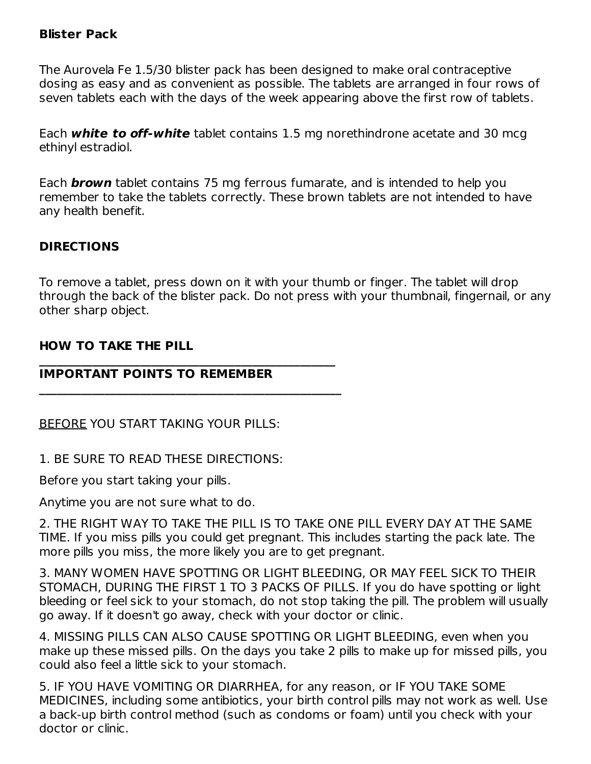#### **Blister Pack**

The Aurovela Fe 1.5/30 blister pack has been designed to make oral contraceptive dosing as easy and as convenient as possible. The tablets are arranged in four rows of seven tablets each with the days of the week appearing above the first row of tablets.

Each **white to off-white** tablet contains 1.5 mg norethindrone acetate and 30 mcg ethinyl estradiol.

Each **brown** tablet contains 75 mg ferrous fumarate, and is intended to help you remember to take the tablets correctly. These brown tablets are not intended to have any health benefit.

#### **DIRECTIONS**

To remove a tablet, press down on it with your thumb or finger. The tablet will drop through the back of the blister pack. Do not press with your thumbnail, fingernail, or any other sharp object.

#### **HOW TO TAKE THE PILL**

#### **IMPORTANT POINTS TO REMEMBER**

**\_\_\_\_\_\_\_\_\_\_\_\_\_\_\_\_\_\_\_\_\_\_\_\_\_\_\_\_\_\_\_\_\_\_\_\_\_\_\_\_\_\_\_\_\_\_\_\_\_\_**

**\_\_\_\_\_\_\_\_\_\_\_\_\_\_\_\_\_\_\_\_\_\_\_\_\_\_\_\_\_\_\_\_\_\_\_\_\_\_\_\_\_\_\_\_\_\_\_\_\_\_\_**

BEFORE YOU START TAKING YOUR PILLS:

#### 1. BE SURE TO READ THESE DIRECTIONS:

Before you start taking your pills.

Anytime you are not sure what to do.

2. THE RIGHT WAY TO TAKE THE PILL IS TO TAKE ONE PILL EVERY DAY AT THE SAME TIME. If you miss pills you could get pregnant. This includes starting the pack late. The more pills you miss, the more likely you are to get pregnant.

3. MANY WOMEN HAVE SPOTTING OR LIGHT BLEEDING, OR MAY FEEL SICK TO THEIR STOMACH, DURING THE FIRST 1 TO 3 PACKS OF PILLS. If you do have spotting or light bleeding or feel sick to your stomach, do not stop taking the pill. The problem will usually go away. If it doesn't go away, check with your doctor or clinic.

4. MISSING PILLS CAN ALSO CAUSE SPOTTING OR LIGHT BLEEDING, even when you make up these missed pills. On the days you take 2 pills to make up for missed pills, you could also feel a little sick to your stomach.

5. IF YOU HAVE VOMITING OR DIARRHEA, for any reason, or IF YOU TAKE SOME MEDICINES, including some antibiotics, your birth control pills may not work as well. Use a back-up birth control method (such as condoms or foam) until you check with your doctor or clinic.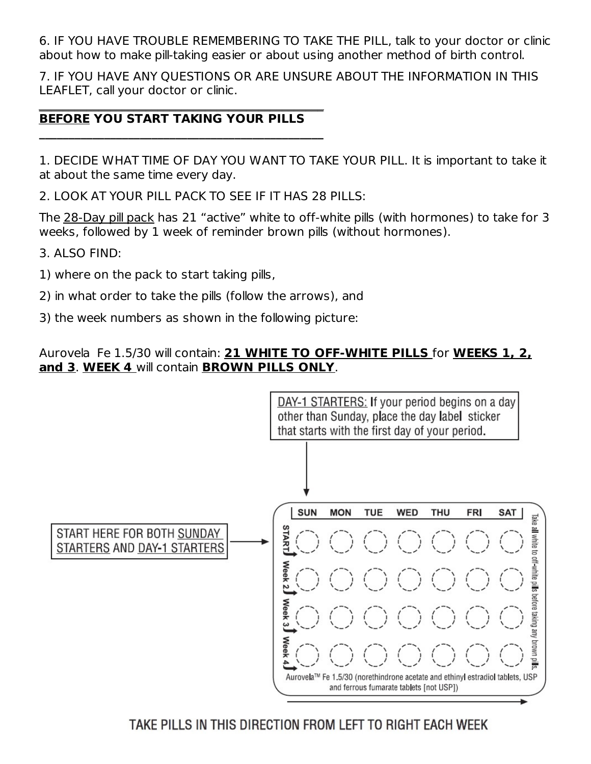6. IF YOU HAVE TROUBLE REMEMBERING TO TAKE THE PILL, talk to your doctor or clinic about how to make pill-taking easier or about using another method of birth control.

7. IF YOU HAVE ANY QUESTIONS OR ARE UNSURE ABOUT THE INFORMATION IN THIS LEAFLET, call your doctor or clinic.

## **BEFORE YOU START TAKING YOUR PILLS**

 $\frac{1}{2}$  ,  $\frac{1}{2}$  ,  $\frac{1}{2}$  ,  $\frac{1}{2}$  ,  $\frac{1}{2}$  ,  $\frac{1}{2}$  ,  $\frac{1}{2}$  ,  $\frac{1}{2}$  ,  $\frac{1}{2}$  ,  $\frac{1}{2}$  ,  $\frac{1}{2}$  ,  $\frac{1}{2}$  ,  $\frac{1}{2}$  ,  $\frac{1}{2}$  ,  $\frac{1}{2}$  ,  $\frac{1}{2}$  ,  $\frac{1}{2}$  ,  $\frac{1}{2}$  ,  $\frac{1$ 

**\_\_\_\_\_\_\_\_\_\_\_\_\_\_\_\_\_\_\_\_\_\_\_\_\_\_\_\_\_\_\_\_\_\_\_\_\_\_\_\_\_\_\_\_\_\_\_\_**

1. DECIDE WHAT TIME OF DAY YOU WANT TO TAKE YOUR PILL. It is important to take it at about the same time every day.

2. LOOK AT YOUR PILL PACK TO SEE IF IT HAS 28 PILLS:

The 28-Day pill pack has 21 "active" white to off-white pills (with hormones) to take for 3 weeks, followed by 1 week of reminder brown pills (without hormones).

3. ALSO FIND:

1) where on the pack to start taking pills,

2) in what order to take the pills (follow the arrows), and

3) the week numbers as shown in the following picture:

Aurovela Fe 1.5/30 will contain: **21 WHITE TO OFF-WHITE PILLS** for **WEEKS 1, 2, and 3**. **WEEK 4** will contain **BROWN PILLS ONLY**.



TAKE PILLS IN THIS DIRECTION FROM LEFT TO RIGHT EACH WEEK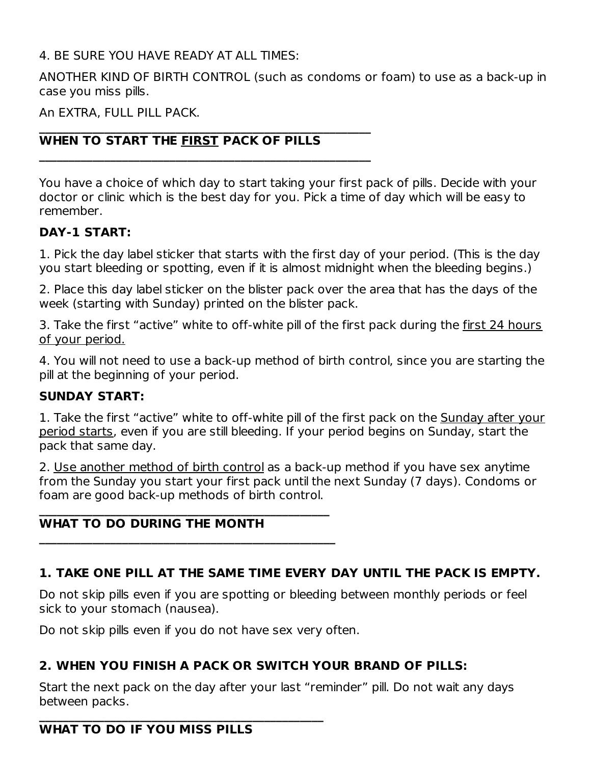4. BE SURE YOU HAVE READY AT ALL TIMES:

ANOTHER KIND OF BIRTH CONTROL (such as condoms or foam) to use as a back-up in case you miss pills.

An EXTRA, FULL PILL PACK.

#### **\_\_\_\_\_\_\_\_\_\_\_\_\_\_\_\_\_\_\_\_\_\_\_\_\_\_\_\_\_\_\_\_\_\_\_\_\_\_\_\_\_\_\_\_\_\_\_\_\_\_\_\_\_\_\_\_ WHEN TO START THE FIRST PACK OF PILLS**

**\_\_\_\_\_\_\_\_\_\_\_\_\_\_\_\_\_\_\_\_\_\_\_\_\_\_\_\_\_\_\_\_\_\_\_\_\_\_\_\_\_\_\_\_\_\_\_\_\_\_\_\_\_\_\_\_**

You have a choice of which day to start taking your first pack of pills. Decide with your doctor or clinic which is the best day for you. Pick a time of day which will be easy to remember.

## **DAY-1 START:**

1. Pick the day label sticker that starts with the first day of your period. (This is the day you start bleeding or spotting, even if it is almost midnight when the bleeding begins.)

2. Place this day label sticker on the blister pack over the area that has the days of the week (starting with Sunday) printed on the blister pack.

3. Take the first "active" white to off-white pill of the first pack during the first 24 hours of your period.

4. You will not need to use a back-up method of birth control, since you are starting the pill at the beginning of your period.

## **SUNDAY START:**

1. Take the first "active" white to off-white pill of the first pack on the Sunday after your period starts, even if you are still bleeding. If your period begins on Sunday, start the pack that same day.

2. Use another method of birth control as a back-up method if you have sex anytime from the Sunday you start your first pack until the next Sunday (7 days). Condoms or foam are good back-up methods of birth control.

#### **\_\_\_\_\_\_\_\_\_\_\_\_\_\_\_\_\_\_\_\_\_\_\_\_\_\_\_\_\_\_\_\_\_\_\_\_\_\_\_\_\_\_\_\_\_\_\_\_\_ WHAT TO DO DURING THE MONTH**

## **1. TAKE ONE PILL AT THE SAME TIME EVERY DAY UNTIL THE PACK IS EMPTY.**

Do not skip pills even if you are spotting or bleeding between monthly periods or feel sick to your stomach (nausea).

Do not skip pills even if you do not have sex very often.

**\_\_\_\_\_\_\_\_\_\_\_\_\_\_\_\_\_\_\_\_\_\_\_\_\_\_\_\_\_\_\_\_\_\_\_\_\_\_\_\_\_\_\_\_\_\_\_\_\_\_**

## **2. WHEN YOU FINISH A PACK OR SWITCH YOUR BRAND OF PILLS:**

Start the next pack on the day after your last "reminder" pill. Do not wait any days between packs.

#### **\_\_\_\_\_\_\_\_\_\_\_\_\_\_\_\_\_\_\_\_\_\_\_\_\_\_\_\_\_\_\_\_\_\_\_\_\_\_\_\_\_\_\_\_\_\_\_\_ WHAT TO DO IF YOU MISS PILLS**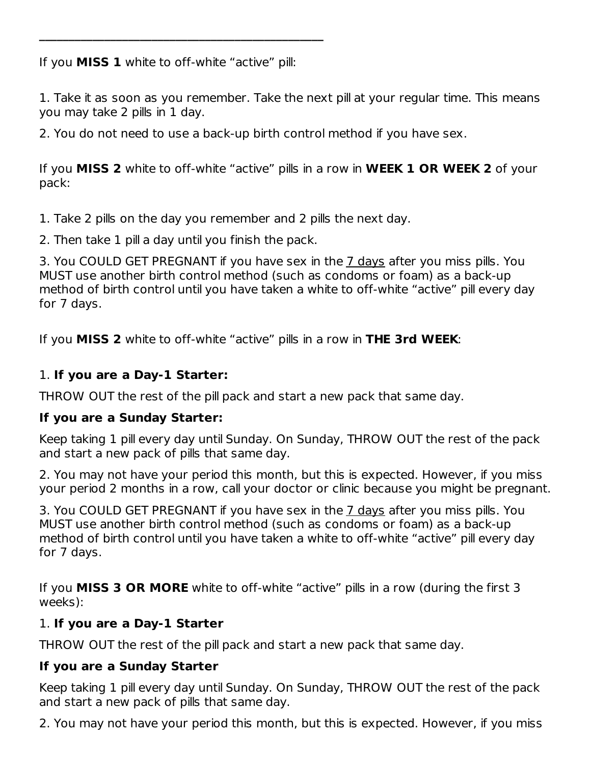If you **MISS 1** white to off-white "active" pill:

**\_\_\_\_\_\_\_\_\_\_\_\_\_\_\_\_\_\_\_\_\_\_\_\_\_\_\_\_\_\_\_\_\_\_\_\_\_\_\_\_\_\_\_\_\_\_\_\_**

1. Take it as soon as you remember. Take the next pill at your regular time. This means you may take 2 pills in 1 day.

2. You do not need to use a back-up birth control method if you have sex.

If you **MISS 2** white to off-white "active" pills in a row in **WEEK 1 OR WEEK 2** of your pack:

1. Take 2 pills on the day you remember and 2 pills the next day.

2. Then take 1 pill a day until you finish the pack.

3. You COULD GET PREGNANT if you have sex in the 7 days after you miss pills. You MUST use another birth control method (such as condoms or foam) as a back-up method of birth control until you have taken a white to off-white "active" pill every day for 7 days.

If you **MISS 2** white to off-white "active" pills in a row in **THE 3rd WEEK**:

# 1. **If you are a Day-1 Starter:**

THROW OUT the rest of the pill pack and start a new pack that same day.

# **If you are a Sunday Starter:**

Keep taking 1 pill every day until Sunday. On Sunday, THROW OUT the rest of the pack and start a new pack of pills that same day.

2. You may not have your period this month, but this is expected. However, if you miss your period 2 months in a row, call your doctor or clinic because you might be pregnant.

3. You COULD GET PREGNANT if you have sex in the 7 days after you miss pills. You MUST use another birth control method (such as condoms or foam) as a back-up method of birth control until you have taken a white to off-white "active" pill every day for 7 days.

If you **MISS 3 OR MORE** white to off-white "active" pills in a row (during the first 3 weeks):

# 1. **If you are a Day-1 Starter**

THROW OUT the rest of the pill pack and start a new pack that same day.

# **If you are a Sunday Starter**

Keep taking 1 pill every day until Sunday. On Sunday, THROW OUT the rest of the pack and start a new pack of pills that same day.

2. You may not have your period this month, but this is expected. However, if you miss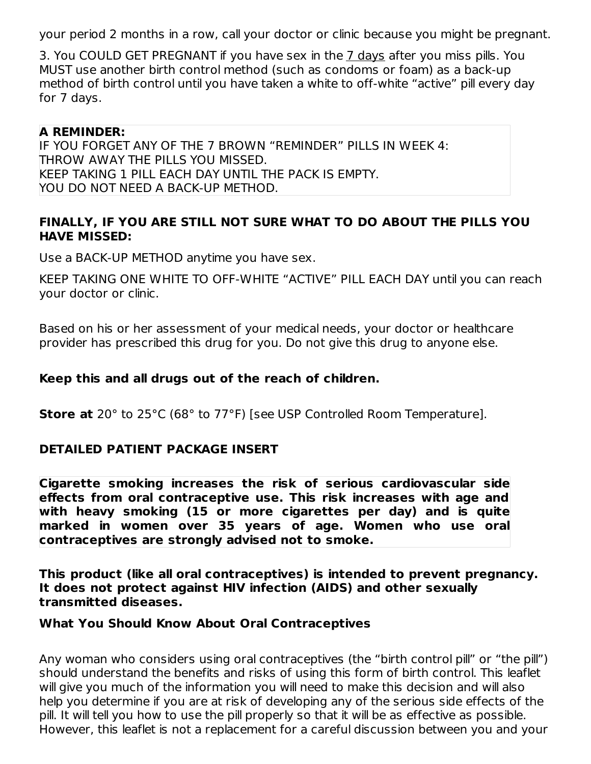your period 2 months in a row, call your doctor or clinic because you might be pregnant.

3. You COULD GET PREGNANT if you have sex in the 7 days after you miss pills. You MUST use another birth control method (such as condoms or foam) as a back-up method of birth control until you have taken a white to off-white "active" pill every day for 7 days.

#### **A REMINDER:**

IF YOU FORGET ANY OF THE 7 BROWN "REMINDER" PILLS IN WEEK 4: THROW AWAY THE PILLS YOU MISSED. KEEP TAKING 1 PILL EACH DAY UNTIL THE PACK IS EMPTY. YOU DO NOT NEED A BACK-UP METHOD.

#### **FINALLY, IF YOU ARE STILL NOT SURE WHAT TO DO ABOUT THE PILLS YOU HAVE MISSED:**

Use a BACK-UP METHOD anytime you have sex.

KEEP TAKING ONE WHITE TO OFF-WHITE "ACTIVE" PILL EACH DAY until you can reach your doctor or clinic.

Based on his or her assessment of your medical needs, your doctor or healthcare provider has prescribed this drug for you. Do not give this drug to anyone else.

#### **Keep this and all drugs out of the reach of children.**

**Store at** 20° to 25°C (68° to 77°F) [see USP Controlled Room Temperature].

#### **DETAILED PATIENT PACKAGE INSERT**

**Cigarette smoking increases the risk of serious cardiovascular side effects from oral contraceptive use. This risk increases with age and with heavy smoking (15 or more cigarettes per day) and is quite marked in women over 35 years of age. Women who use oral contraceptives are strongly advised not to smoke.**

**This product (like all oral contraceptives) is intended to prevent pregnancy. It does not protect against HIV infection (AIDS) and other sexually transmitted diseases.**

#### **What You Should Know About Oral Contraceptives**

Any woman who considers using oral contraceptives (the "birth control pill" or "the pill") should understand the benefits and risks of using this form of birth control. This leaflet will give you much of the information you will need to make this decision and will also help you determine if you are at risk of developing any of the serious side effects of the pill. It will tell you how to use the pill properly so that it will be as effective as possible. However, this leaflet is not a replacement for a careful discussion between you and your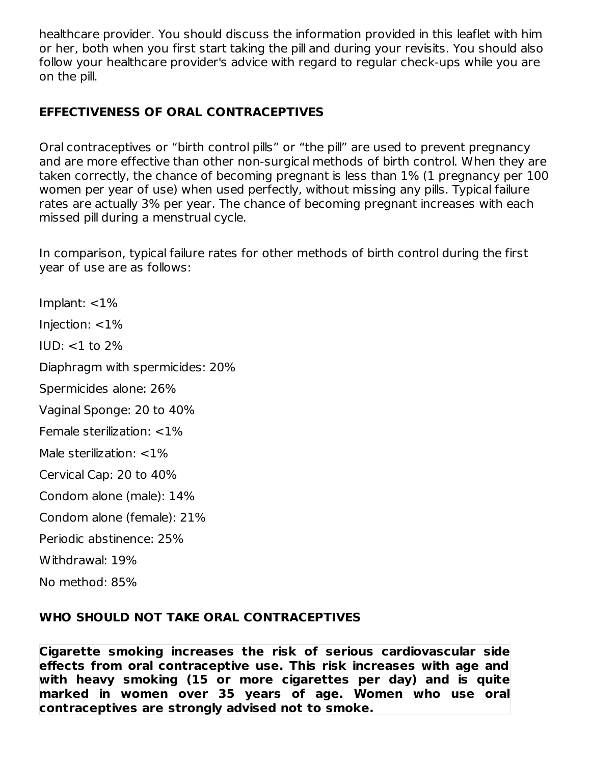healthcare provider. You should discuss the information provided in this leaflet with him or her, both when you first start taking the pill and during your revisits. You should also follow your healthcare provider's advice with regard to regular check-ups while you are on the pill.

#### **EFFECTIVENESS OF ORAL CONTRACEPTIVES**

Oral contraceptives or "birth control pills" or "the pill" are used to prevent pregnancy and are more effective than other non-surgical methods of birth control. When they are taken correctly, the chance of becoming pregnant is less than 1% (1 pregnancy per 100 women per year of use) when used perfectly, without missing any pills. Typical failure rates are actually 3% per year. The chance of becoming pregnant increases with each missed pill during a menstrual cycle.

In comparison, typical failure rates for other methods of birth control during the first year of use are as follows:

Implant: <1%

Injection: <1%

 $ID: <1$  to  $2%$ 

Diaphragm with spermicides: 20%

Spermicides alone: 26%

Vaginal Sponge: 20 to 40%

Female sterilization: <1%

Male sterilization: <1%

Cervical Cap: 20 to 40%

Condom alone (male): 14%

Condom alone (female): 21%

Periodic abstinence: 25%

Withdrawal: 19%

No method: 85%

#### **WHO SHOULD NOT TAKE ORAL CONTRACEPTIVES**

**Cigarette smoking increases the risk of serious cardiovascular side effects from oral contraceptive use. This risk increases with age and with heavy smoking (15 or more cigarettes per day) and is quite marked in women over 35 years of age. Women who use oral contraceptives are strongly advised not to smoke.**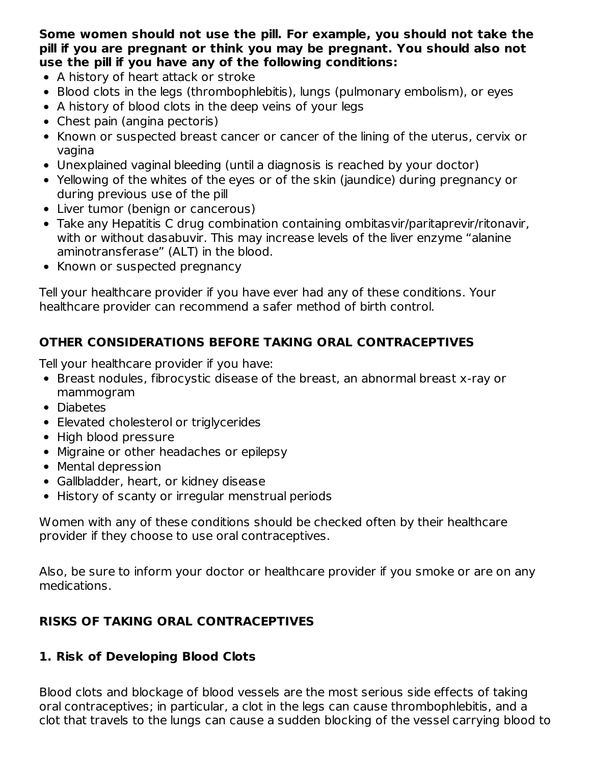**Some women should not use the pill. For example, you should not take the pill if you are pregnant or think you may be pregnant. You should also not use the pill if you have any of the following conditions:**

- A history of heart attack or stroke
- Blood clots in the legs (thrombophlebitis), lungs (pulmonary embolism), or eyes
- A history of blood clots in the deep veins of your legs
- Chest pain (angina pectoris)
- Known or suspected breast cancer or cancer of the lining of the uterus, cervix or vagina
- Unexplained vaginal bleeding (until a diagnosis is reached by your doctor)
- Yellowing of the whites of the eyes or of the skin (jaundice) during pregnancy or during previous use of the pill
- Liver tumor (benign or cancerous)
- Take any Hepatitis C drug combination containing ombitasvir/paritaprevir/ritonavir, with or without dasabuvir. This may increase levels of the liver enzyme "alanine aminotransferase" (ALT) in the blood.
- Known or suspected pregnancy

Tell your healthcare provider if you have ever had any of these conditions. Your healthcare provider can recommend a safer method of birth control.

# **OTHER CONSIDERATIONS BEFORE TAKING ORAL CONTRACEPTIVES**

Tell your healthcare provider if you have:

- Breast nodules, fibrocystic disease of the breast, an abnormal breast x-ray or mammogram
- Diabetes
- Elevated cholesterol or triglycerides
- High blood pressure
- Migraine or other headaches or epilepsy
- Mental depression
- Gallbladder, heart, or kidney disease
- History of scanty or irregular menstrual periods

Women with any of these conditions should be checked often by their healthcare provider if they choose to use oral contraceptives.

Also, be sure to inform your doctor or healthcare provider if you smoke or are on any medications.

# **RISKS OF TAKING ORAL CONTRACEPTIVES**

## **1. Risk of Developing Blood Clots**

Blood clots and blockage of blood vessels are the most serious side effects of taking oral contraceptives; in particular, a clot in the legs can cause thrombophlebitis, and a clot that travels to the lungs can cause a sudden blocking of the vessel carrying blood to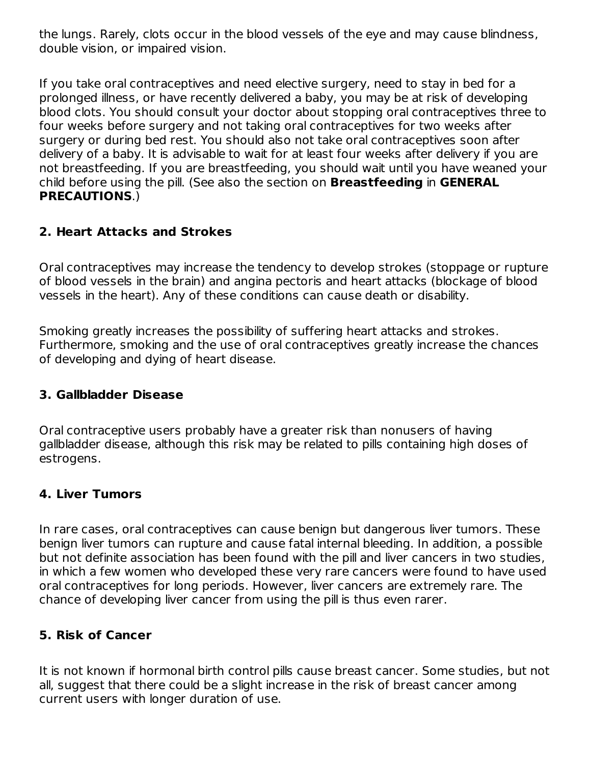the lungs. Rarely, clots occur in the blood vessels of the eye and may cause blindness, double vision, or impaired vision.

If you take oral contraceptives and need elective surgery, need to stay in bed for a prolonged illness, or have recently delivered a baby, you may be at risk of developing blood clots. You should consult your doctor about stopping oral contraceptives three to four weeks before surgery and not taking oral contraceptives for two weeks after surgery or during bed rest. You should also not take oral contraceptives soon after delivery of a baby. It is advisable to wait for at least four weeks after delivery if you are not breastfeeding. If you are breastfeeding, you should wait until you have weaned your child before using the pill. (See also the section on **Breastfeeding** in **GENERAL PRECAUTIONS**.)

#### **2. Heart Attacks and Strokes**

Oral contraceptives may increase the tendency to develop strokes (stoppage or rupture of blood vessels in the brain) and angina pectoris and heart attacks (blockage of blood vessels in the heart). Any of these conditions can cause death or disability.

Smoking greatly increases the possibility of suffering heart attacks and strokes. Furthermore, smoking and the use of oral contraceptives greatly increase the chances of developing and dying of heart disease.

#### **3. Gallbladder Disease**

Oral contraceptive users probably have a greater risk than nonusers of having gallbladder disease, although this risk may be related to pills containing high doses of estrogens.

#### **4. Liver Tumors**

In rare cases, oral contraceptives can cause benign but dangerous liver tumors. These benign liver tumors can rupture and cause fatal internal bleeding. In addition, a possible but not definite association has been found with the pill and liver cancers in two studies, in which a few women who developed these very rare cancers were found to have used oral contraceptives for long periods. However, liver cancers are extremely rare. The chance of developing liver cancer from using the pill is thus even rarer.

#### **5. Risk of Cancer**

It is not known if hormonal birth control pills cause breast cancer. Some studies, but not all, suggest that there could be a slight increase in the risk of breast cancer among current users with longer duration of use.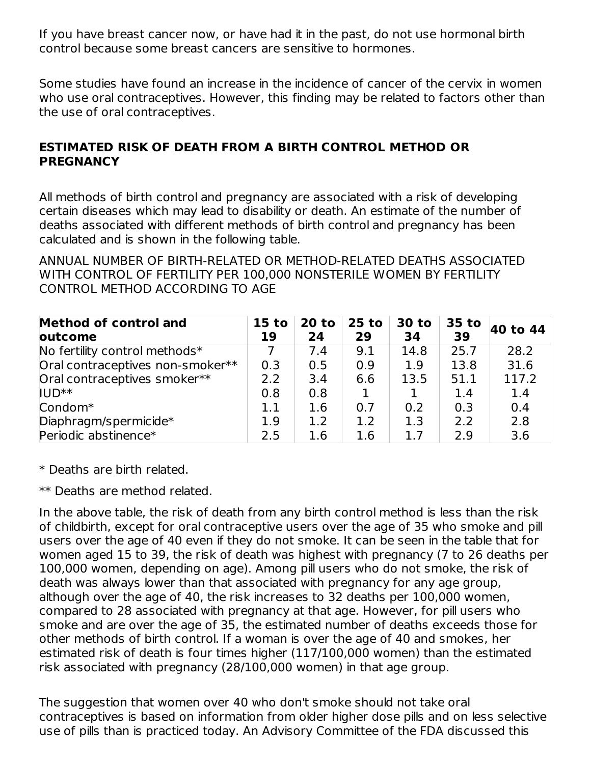If you have breast cancer now, or have had it in the past, do not use hormonal birth control because some breast cancers are sensitive to hormones.

Some studies have found an increase in the incidence of cancer of the cervix in women who use oral contraceptives. However, this finding may be related to factors other than the use of oral contraceptives.

#### **ESTIMATED RISK OF DEATH FROM A BIRTH CONTROL METHOD OR PREGNANCY**

All methods of birth control and pregnancy are associated with a risk of developing certain diseases which may lead to disability or death. An estimate of the number of deaths associated with different methods of birth control and pregnancy has been calculated and is shown in the following table.

ANNUAL NUMBER OF BIRTH-RELATED OR METHOD-RELATED DEATHS ASSOCIATED WITH CONTROL OF FERTILITY PER 100,000 NONSTERILE WOMEN BY FERTILITY CONTROL METHOD ACCORDING TO AGE

| <b>Method of control and</b>     | $15$ to | $20$ to | 25 to | 30 to | 35 to<br>39 | 40 to 44 |
|----------------------------------|---------|---------|-------|-------|-------------|----------|
| outcome                          | 19      | 24      | 29    | 34    |             |          |
| No fertility control methods*    |         | 7.4     | 9.1   | 14.8  | 25.7        | 28.2     |
| Oral contraceptives non-smoker** | 0.3     | 0.5     | 0.9   | 1.9   | 13.8        | 31.6     |
| Oral contraceptives smoker**     | 2.2     | 3.4     | 6.6   | 13.5  | 51.1        | 117.2    |
| IUD <sup>**</sup>                | 0.8     | 0.8     | 1     |       | 1.4         | 1.4      |
| Condom <sup>*</sup>              | 1.1     | 1.6     | 0.7   | 0.2   | 0.3         | 0.4      |
| Diaphragm/spermicide*            | 1.9     | 1.2     | 1.2   | 1.3   | 2.2         | 2.8      |
| Periodic abstinence*             | 2.5     | 1.6     | 1.6   | 1.7   | 2.9         | 3.6      |

\* Deaths are birth related.

\*\* Deaths are method related.

In the above table, the risk of death from any birth control method is less than the risk of childbirth, except for oral contraceptive users over the age of 35 who smoke and pill users over the age of 40 even if they do not smoke. It can be seen in the table that for women aged 15 to 39, the risk of death was highest with pregnancy (7 to 26 deaths per 100,000 women, depending on age). Among pill users who do not smoke, the risk of death was always lower than that associated with pregnancy for any age group, although over the age of 40, the risk increases to 32 deaths per 100,000 women, compared to 28 associated with pregnancy at that age. However, for pill users who smoke and are over the age of 35, the estimated number of deaths exceeds those for other methods of birth control. If a woman is over the age of 40 and smokes, her estimated risk of death is four times higher (117/100,000 women) than the estimated risk associated with pregnancy (28/100,000 women) in that age group.

The suggestion that women over 40 who don't smoke should not take oral contraceptives is based on information from older higher dose pills and on less selective use of pills than is practiced today. An Advisory Committee of the FDA discussed this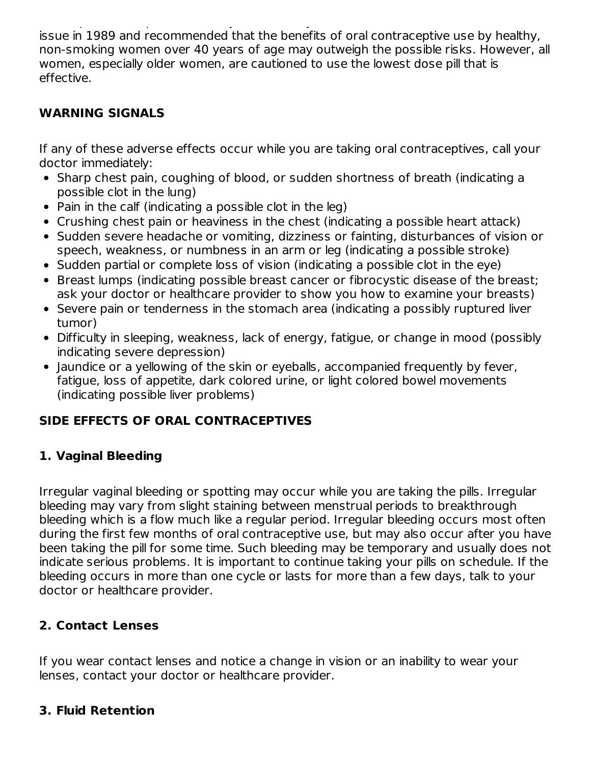use of pills than is probably than is probably than is probably committee of the  $\mathcal{L}$ issue in 1989 and recommended that the benefits of oral contraceptive use by healthy, non-smoking women over 40 years of age may outweigh the possible risks. However, all women, especially older women, are cautioned to use the lowest dose pill that is effective.

## **WARNING SIGNALS**

If any of these adverse effects occur while you are taking oral contraceptives, call your doctor immediately:

- Sharp chest pain, coughing of blood, or sudden shortness of breath (indicating a possible clot in the lung)
- $\bullet$  Pain in the calf (indicating a possible clot in the leg)
- Crushing chest pain or heaviness in the chest (indicating a possible heart attack)
- Sudden severe headache or vomiting, dizziness or fainting, disturbances of vision or speech, weakness, or numbness in an arm or leg (indicating a possible stroke)
- Sudden partial or complete loss of vision (indicating a possible clot in the eye)
- Breast lumps (indicating possible breast cancer or fibrocystic disease of the breast; ask your doctor or healthcare provider to show you how to examine your breasts)
- Severe pain or tenderness in the stomach area (indicating a possibly ruptured liver tumor)
- Difficulty in sleeping, weakness, lack of energy, fatigue, or change in mood (possibly indicating severe depression)
- Jaundice or a yellowing of the skin or eyeballs, accompanied frequently by fever, fatigue, loss of appetite, dark colored urine, or light colored bowel movements (indicating possible liver problems)

# **SIDE EFFECTS OF ORAL CONTRACEPTIVES**

## **1. Vaginal Bleeding**

Irregular vaginal bleeding or spotting may occur while you are taking the pills. Irregular bleeding may vary from slight staining between menstrual periods to breakthrough bleeding which is a flow much like a regular period. Irregular bleeding occurs most often during the first few months of oral contraceptive use, but may also occur after you have been taking the pill for some time. Such bleeding may be temporary and usually does not indicate serious problems. It is important to continue taking your pills on schedule. If the bleeding occurs in more than one cycle or lasts for more than a few days, talk to your doctor or healthcare provider.

# **2. Contact Lenses**

If you wear contact lenses and notice a change in vision or an inability to wear your lenses, contact your doctor or healthcare provider.

## **3. Fluid Retention**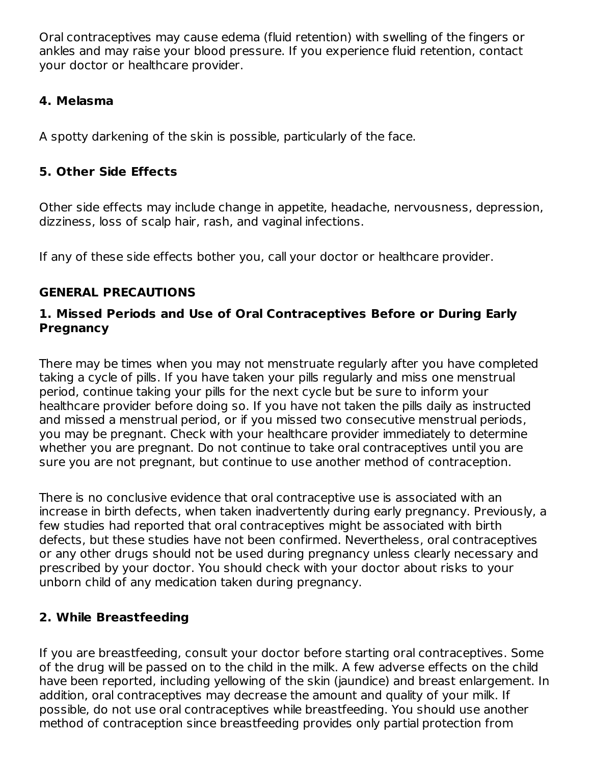Oral contraceptives may cause edema (fluid retention) with swelling of the fingers or ankles and may raise your blood pressure. If you experience fluid retention, contact your doctor or healthcare provider.

## **4. Melasma**

A spotty darkening of the skin is possible, particularly of the face.

## **5. Other Side Effects**

Other side effects may include change in appetite, headache, nervousness, depression, dizziness, loss of scalp hair, rash, and vaginal infections.

If any of these side effects bother you, call your doctor or healthcare provider.

## **GENERAL PRECAUTIONS**

### **1. Missed Periods and Use of Oral Contraceptives Before or During Early Pregnancy**

There may be times when you may not menstruate regularly after you have completed taking a cycle of pills. If you have taken your pills regularly and miss one menstrual period, continue taking your pills for the next cycle but be sure to inform your healthcare provider before doing so. If you have not taken the pills daily as instructed and missed a menstrual period, or if you missed two consecutive menstrual periods, you may be pregnant. Check with your healthcare provider immediately to determine whether you are pregnant. Do not continue to take oral contraceptives until you are sure you are not pregnant, but continue to use another method of contraception.

There is no conclusive evidence that oral contraceptive use is associated with an increase in birth defects, when taken inadvertently during early pregnancy. Previously, a few studies had reported that oral contraceptives might be associated with birth defects, but these studies have not been confirmed. Nevertheless, oral contraceptives or any other drugs should not be used during pregnancy unless clearly necessary and prescribed by your doctor. You should check with your doctor about risks to your unborn child of any medication taken during pregnancy.

## **2. While Breastfeeding**

If you are breastfeeding, consult your doctor before starting oral contraceptives. Some of the drug will be passed on to the child in the milk. A few adverse effects on the child have been reported, including yellowing of the skin (jaundice) and breast enlargement. In addition, oral contraceptives may decrease the amount and quality of your milk. If possible, do not use oral contraceptives while breastfeeding. You should use another method of contraception since breastfeeding provides only partial protection from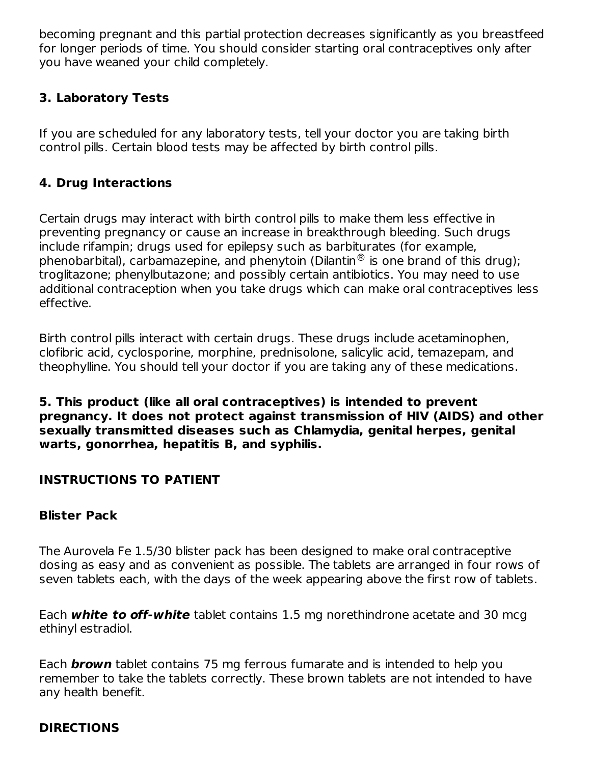becoming pregnant and this partial protection decreases significantly as you breastfeed for longer periods of time. You should consider starting oral contraceptives only after you have weaned your child completely.

## **3. Laboratory Tests**

If you are scheduled for any laboratory tests, tell your doctor you are taking birth control pills. Certain blood tests may be affected by birth control pills.

## **4. Drug Interactions**

Certain drugs may interact with birth control pills to make them less effective in preventing pregnancy or cause an increase in breakthrough bleeding. Such drugs include rifampin; drugs used for epilepsy such as barbiturates (for example, phenobarbital), carbamazepine, and phenytoin (Dilantin $^\circledR$  is one brand of this drug); troglitazone; phenylbutazone; and possibly certain antibiotics. You may need to use additional contraception when you take drugs which can make oral contraceptives less effective.

Birth control pills interact with certain drugs. These drugs include acetaminophen, clofibric acid, cyclosporine, morphine, prednisolone, salicylic acid, temazepam, and theophylline. You should tell your doctor if you are taking any of these medications.

**5. This product (like all oral contraceptives) is intended to prevent pregnancy. It does not protect against transmission of HIV (AIDS) and other sexually transmitted diseases such as Chlamydia, genital herpes, genital warts, gonorrhea, hepatitis B, and syphilis.**

#### **INSTRUCTIONS TO PATIENT**

#### **Blister Pack**

The Aurovela Fe 1.5/30 blister pack has been designed to make oral contraceptive dosing as easy and as convenient as possible. The tablets are arranged in four rows of seven tablets each, with the days of the week appearing above the first row of tablets.

Each **white to off-white** tablet contains 1.5 mg norethindrone acetate and 30 mcg ethinyl estradiol.

Each **brown** tablet contains 75 mg ferrous fumarate and is intended to help you remember to take the tablets correctly. These brown tablets are not intended to have any health benefit.

## **DIRECTIONS**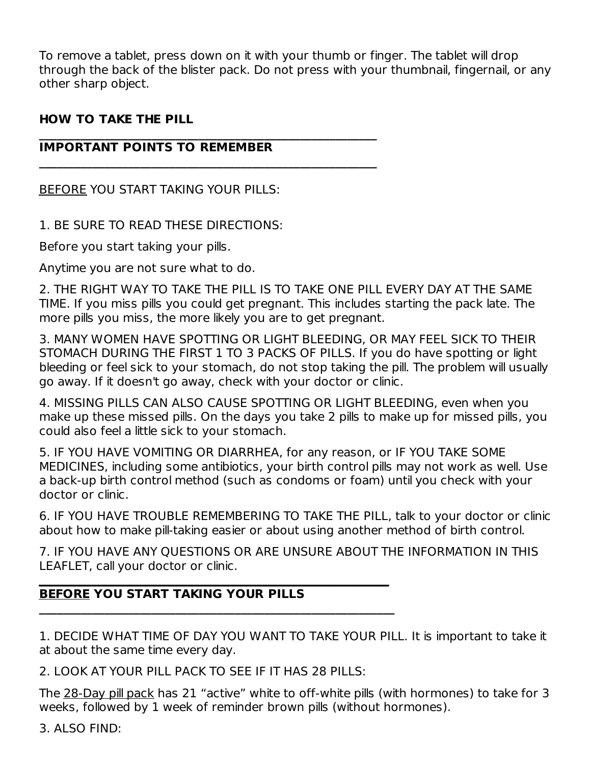To remove a tablet, press down on it with your thumb or finger. The tablet will drop through the back of the blister pack. Do not press with your thumbnail, fingernail, or any other sharp object.

#### **HOW TO TAKE THE PILL**

#### **IMPORTANT POINTS TO REMEMBER**

**\_\_\_\_\_\_\_\_\_\_\_\_\_\_\_\_\_\_\_\_\_\_\_\_\_\_\_\_\_\_\_\_\_\_\_\_\_\_\_\_\_\_\_\_\_\_\_\_\_\_\_\_\_\_\_\_\_**

**\_\_\_\_\_\_\_\_\_\_\_\_\_\_\_\_\_\_\_\_\_\_\_\_\_\_\_\_\_\_\_\_\_\_\_\_\_\_\_\_\_\_\_\_\_\_\_\_\_\_\_\_\_\_\_\_\_**

BEFORE YOU START TAKING YOUR PILLS:

1. BE SURE TO READ THESE DIRECTIONS:

Before you start taking your pills.

Anytime you are not sure what to do.

2. THE RIGHT WAY TO TAKE THE PILL IS TO TAKE ONE PILL EVERY DAY AT THE SAME TIME. If you miss pills you could get pregnant. This includes starting the pack late. The more pills you miss, the more likely you are to get pregnant.

3. MANY WOMEN HAVE SPOTTING OR LIGHT BLEEDING, OR MAY FEEL SICK TO THEIR STOMACH DURING THE FIRST 1 TO 3 PACKS OF PILLS. If you do have spotting or light bleeding or feel sick to your stomach, do not stop taking the pill. The problem will usually go away. If it doesn't go away, check with your doctor or clinic.

4. MISSING PILLS CAN ALSO CAUSE SPOTTING OR LIGHT BLEEDING, even when you make up these missed pills. On the days you take 2 pills to make up for missed pills, you could also feel a little sick to your stomach.

5. IF YOU HAVE VOMITING OR DIARRHEA, for any reason, or IF YOU TAKE SOME MEDICINES, including some antibiotics, your birth control pills may not work as well. Use a back-up birth control method (such as condoms or foam) until you check with your doctor or clinic.

6. IF YOU HAVE TROUBLE REMEMBERING TO TAKE THE PILL, talk to your doctor or clinic about how to make pill-taking easier or about using another method of birth control.

7. IF YOU HAVE ANY QUESTIONS OR ARE UNSURE ABOUT THE INFORMATION IN THIS LEAFLET, call your doctor or clinic.

#### **BEFORE YOU START TAKING YOUR PILLS**

1. DECIDE WHAT TIME OF DAY YOU WANT TO TAKE YOUR PILL. It is important to take it at about the same time every day.

2. LOOK AT YOUR PILL PACK TO SEE IF IT HAS 28 PILLS:

 $\overline{\phantom{a}}$  , and the contract of the contract of the contract of the contract of the contract of the contract of the contract of the contract of the contract of the contract of the contract of the contract of the contrac

**\_\_\_\_\_\_\_\_\_\_\_\_\_\_\_\_\_\_\_\_\_\_\_\_\_\_\_\_\_\_\_\_\_\_\_\_\_\_\_\_\_\_\_\_\_\_\_\_\_\_\_\_\_\_\_\_\_\_\_\_**

The 28-Day pill pack has 21 "active" white to off-white pills (with hormones) to take for 3 weeks, followed by 1 week of reminder brown pills (without hormones).

3. ALSO FIND: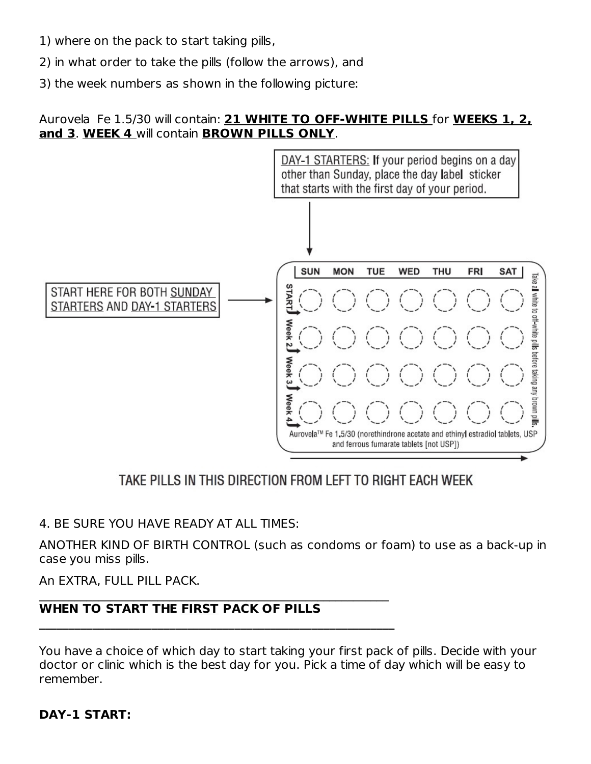1) where on the pack to start taking pills,

- 2) in what order to take the pills (follow the arrows), and
- 3) the week numbers as shown in the following picture:

#### Aurovela Fe 1.5/30 will contain: **21 WHITE TO OFF-WHITE PILLS** for **WEEKS 1, 2, and 3**. **WEEK 4** will contain **BROWN PILLS ONLY**.



TAKE PILLS IN THIS DIRECTION FROM LEFT TO RIGHT EACH WEEK

# 4. BE SURE YOU HAVE READY AT ALL TIMES:

ANOTHER KIND OF BIRTH CONTROL (such as condoms or foam) to use as a back-up in case you miss pills.

An EXTRA, FULL PILL PACK.

#### \_\_\_\_\_\_\_\_\_\_\_\_\_\_\_\_\_\_\_\_\_\_\_\_\_\_\_\_\_\_\_\_\_\_\_\_\_\_\_\_\_\_\_\_\_\_\_\_\_\_\_\_\_\_\_\_\_\_\_ **WHEN TO START THE FIRST PACK OF PILLS**

**\_\_\_\_\_\_\_\_\_\_\_\_\_\_\_\_\_\_\_\_\_\_\_\_\_\_\_\_\_\_\_\_\_\_\_\_\_\_\_\_\_\_\_\_\_\_\_\_\_\_\_\_\_\_\_\_\_\_\_\_**

You have a choice of which day to start taking your first pack of pills. Decide with your doctor or clinic which is the best day for you. Pick a time of day which will be easy to remember.

# **DAY-1 START:**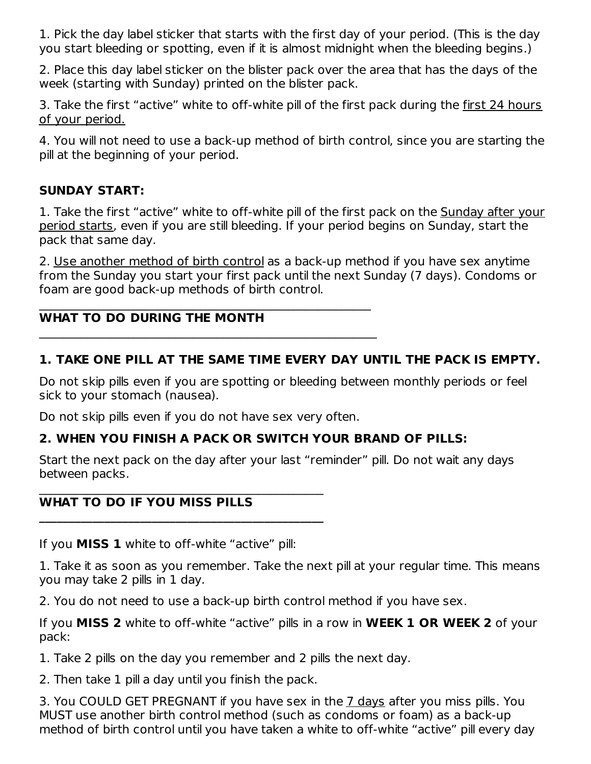1. Pick the day label sticker that starts with the first day of your period. (This is the day you start bleeding or spotting, even if it is almost midnight when the bleeding begins.)

2. Place this day label sticker on the blister pack over the area that has the days of the week (starting with Sunday) printed on the blister pack.

3. Take the first "active" white to off-white pill of the first pack during the first 24 hours of your period.

4. You will not need to use a back-up method of birth control, since you are starting the pill at the beginning of your period.

### **SUNDAY START:**

1. Take the first "active" white to off-white pill of the first pack on the Sunday after your period starts, even if you are still bleeding. If your period begins on Sunday, start the pack that same day.

2. Use another method of birth control as a back-up method if you have sex anytime from the Sunday you start your first pack until the next Sunday (7 days). Condoms or foam are good back-up methods of birth control.

#### $\mathcal{L}_\text{max}$  , and the contract of the contract of the contract of the contract of the contract of the contract of the contract of the contract of the contract of the contract of the contract of the contract of the contr **WHAT TO DO DURING THE MONTH**

## **1. TAKE ONE PILL AT THE SAME TIME EVERY DAY UNTIL THE PACK IS EMPTY.**

Do not skip pills even if you are spotting or bleeding between monthly periods or feel sick to your stomach (nausea).

Do not skip pills even if you do not have sex very often.

 $\mathcal{L}_\text{max}$  , and the contract of the contract of the contract of the contract of the contract of the contract of the contract of the contract of the contract of the contract of the contract of the contract of the contr

## **2. WHEN YOU FINISH A PACK OR SWITCH YOUR BRAND OF PILLS:**

Start the next pack on the day after your last "reminder" pill. Do not wait any days between packs.

#### **WHAT TO DO IF YOU MISS PILLS**

If you **MISS 1** white to off-white "active" pill:

 $\mathcal{L}_\text{max}$  , and the contract of the contract of the contract of the contract of the contract of the contract of the contract of the contract of the contract of the contract of the contract of the contract of the contr

**\_\_\_\_\_\_\_\_\_\_\_\_\_\_\_\_\_\_\_\_\_\_\_\_\_\_\_\_\_\_\_\_\_\_\_\_\_\_\_\_\_\_\_\_\_\_\_\_**

1. Take it as soon as you remember. Take the next pill at your regular time. This means you may take 2 pills in 1 day.

2. You do not need to use a back-up birth control method if you have sex.

If you **MISS 2** white to off-white "active" pills in a row in **WEEK 1 OR WEEK 2** of your pack:

1. Take 2 pills on the day you remember and 2 pills the next day.

2. Then take 1 pill a day until you finish the pack.

3. You COULD GET PREGNANT if you have sex in the 7 days after you miss pills. You MUST use another birth control method (such as condoms or foam) as a back-up method of birth control until you have taken a white to off-white "active" pill every day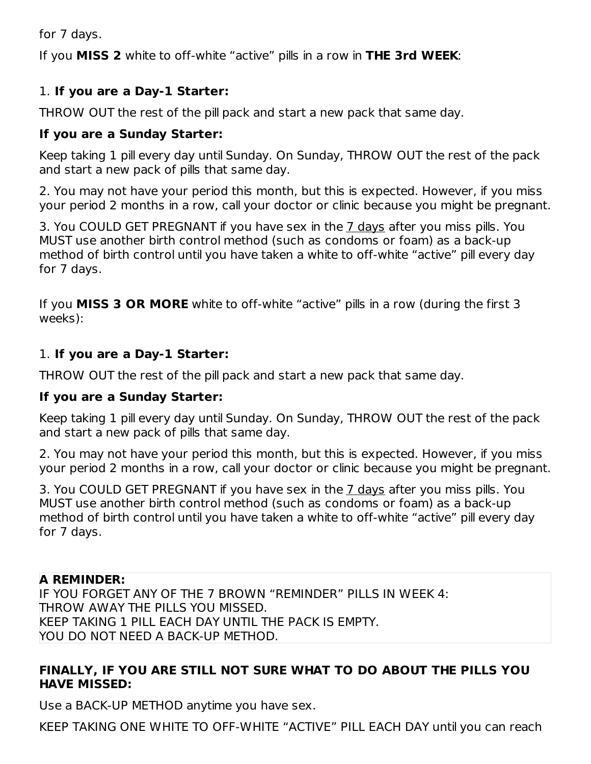for 7 days.

If you **MISS 2** white to off-white "active" pills in a row in **THE 3rd WEEK**:

# 1. **If you are a Day-1 Starter:**

THROW OUT the rest of the pill pack and start a new pack that same day.

# **If you are a Sunday Starter:**

Keep taking 1 pill every day until Sunday. On Sunday, THROW OUT the rest of the pack and start a new pack of pills that same day.

2. You may not have your period this month, but this is expected. However, if you miss your period 2 months in a row, call your doctor or clinic because you might be pregnant.

3. You COULD GET PREGNANT if you have sex in the 7 days after you miss pills. You MUST use another birth control method (such as condoms or foam) as a back-up method of birth control until you have taken a white to off-white "active" pill every day for 7 days.

If you **MISS 3 OR MORE** white to off-white "active" pills in a row (during the first 3 weeks):

# 1. **If you are a Day-1 Starter:**

THROW OUT the rest of the pill pack and start a new pack that same day.

# **If you are a Sunday Starter:**

Keep taking 1 pill every day until Sunday. On Sunday, THROW OUT the rest of the pack and start a new pack of pills that same day.

2. You may not have your period this month, but this is expected. However, if you miss your period 2 months in a row, call your doctor or clinic because you might be pregnant.

3. You COULD GET PREGNANT if you have sex in the 7 days after you miss pills. You MUST use another birth control method (such as condoms or foam) as a back-up method of birth control until you have taken a white to off-white "active" pill every day for 7 days.

# **A REMINDER:**

IF YOU FORGET ANY OF THE 7 BROWN "REMINDER" PILLS IN WEEK 4: THROW AWAY THE PILLS YOU MISSED. KEEP TAKING 1 PILL EACH DAY UNTIL THE PACK IS EMPTY. YOU DO NOT NEED A BACK-UP METHOD.

## **FINALLY, IF YOU ARE STILL NOT SURE WHAT TO DO ABOUT THE PILLS YOU HAVE MISSED:**

Use a BACK-UP METHOD anytime you have sex.

KEEP TAKING ONE WHITE TO OFF-WHITE "ACTIVE" PILL EACH DAY until you can reach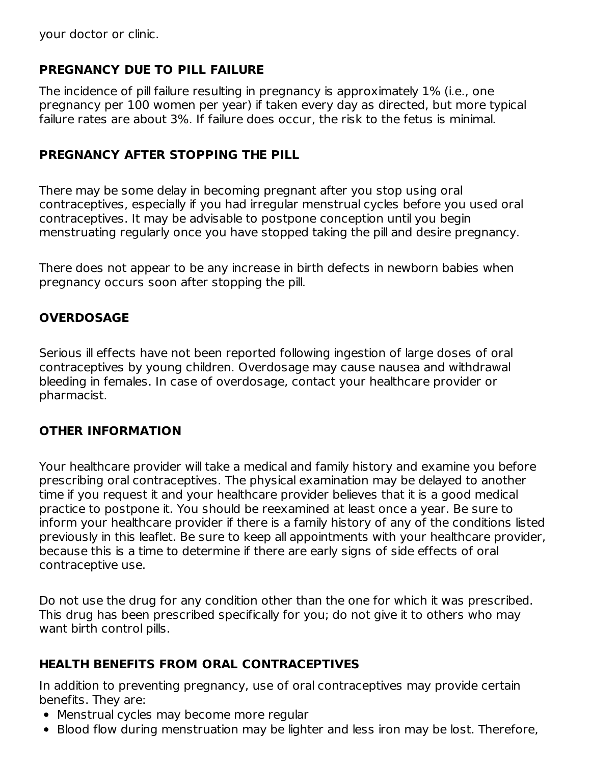## **PREGNANCY DUE TO PILL FAILURE**

The incidence of pill failure resulting in pregnancy is approximately 1% (i.e., one pregnancy per 100 women per year) if taken every day as directed, but more typical failure rates are about 3%. If failure does occur, the risk to the fetus is minimal.

### **PREGNANCY AFTER STOPPING THE PILL**

There may be some delay in becoming pregnant after you stop using oral contraceptives, especially if you had irregular menstrual cycles before you used oral contraceptives. It may be advisable to postpone conception until you begin menstruating regularly once you have stopped taking the pill and desire pregnancy.

There does not appear to be any increase in birth defects in newborn babies when pregnancy occurs soon after stopping the pill.

#### **OVERDOSAGE**

Serious ill effects have not been reported following ingestion of large doses of oral contraceptives by young children. Overdosage may cause nausea and withdrawal bleeding in females. In case of overdosage, contact your healthcare provider or pharmacist.

#### **OTHER INFORMATION**

Your healthcare provider will take a medical and family history and examine you before prescribing oral contraceptives. The physical examination may be delayed to another time if you request it and your healthcare provider believes that it is a good medical practice to postpone it. You should be reexamined at least once a year. Be sure to inform your healthcare provider if there is a family history of any of the conditions listed previously in this leaflet. Be sure to keep all appointments with your healthcare provider, because this is a time to determine if there are early signs of side effects of oral contraceptive use.

Do not use the drug for any condition other than the one for which it was prescribed. This drug has been prescribed specifically for you; do not give it to others who may want birth control pills.

## **HEALTH BENEFITS FROM ORAL CONTRACEPTIVES**

In addition to preventing pregnancy, use of oral contraceptives may provide certain benefits. They are:

- Menstrual cycles may become more regular
- Blood flow during menstruation may be lighter and less iron may be lost. Therefore,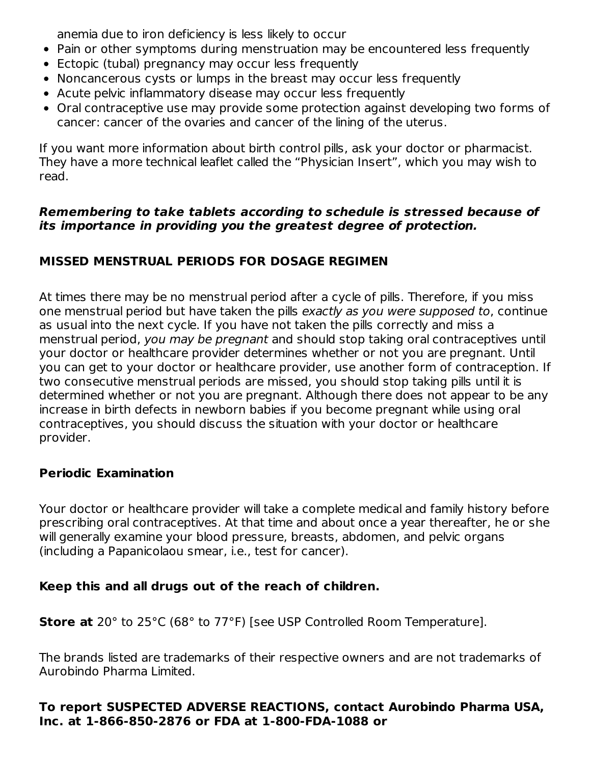anemia due to iron deficiency is less likely to occur

- Pain or other symptoms during menstruation may be encountered less frequently
- Ectopic (tubal) pregnancy may occur less frequently
- Noncancerous cysts or lumps in the breast may occur less frequently
- Acute pelvic inflammatory disease may occur less frequently
- Oral contraceptive use may provide some protection against developing two forms of cancer: cancer of the ovaries and cancer of the lining of the uterus.

If you want more information about birth control pills, ask your doctor or pharmacist. They have a more technical leaflet called the "Physician Insert", which you may wish to read.

#### **Remembering to take tablets according to schedule is stressed because of its importance in providing you the greatest degree of protection.**

# **MISSED MENSTRUAL PERIODS FOR DOSAGE REGIMEN**

At times there may be no menstrual period after a cycle of pills. Therefore, if you miss one menstrual period but have taken the pills exactly as you were supposed to, continue as usual into the next cycle. If you have not taken the pills correctly and miss a menstrual period, you may be pregnant and should stop taking oral contraceptives until your doctor or healthcare provider determines whether or not you are pregnant. Until you can get to your doctor or healthcare provider, use another form of contraception. If two consecutive menstrual periods are missed, you should stop taking pills until it is determined whether or not you are pregnant. Although there does not appear to be any increase in birth defects in newborn babies if you become pregnant while using oral contraceptives, you should discuss the situation with your doctor or healthcare provider.

## **Periodic Examination**

Your doctor or healthcare provider will take a complete medical and family history before prescribing oral contraceptives. At that time and about once a year thereafter, he or she will generally examine your blood pressure, breasts, abdomen, and pelvic organs (including a Papanicolaou smear, i.e., test for cancer).

## **Keep this and all drugs out of the reach of children.**

**Store at** 20° to 25°C (68° to 77°F) [see USP Controlled Room Temperature].

The brands listed are trademarks of their respective owners and are not trademarks of Aurobindo Pharma Limited.

## **To report SUSPECTED ADVERSE REACTIONS, contact Aurobindo Pharma USA, Inc. at 1-866-850-2876 or FDA at 1-800-FDA-1088 or**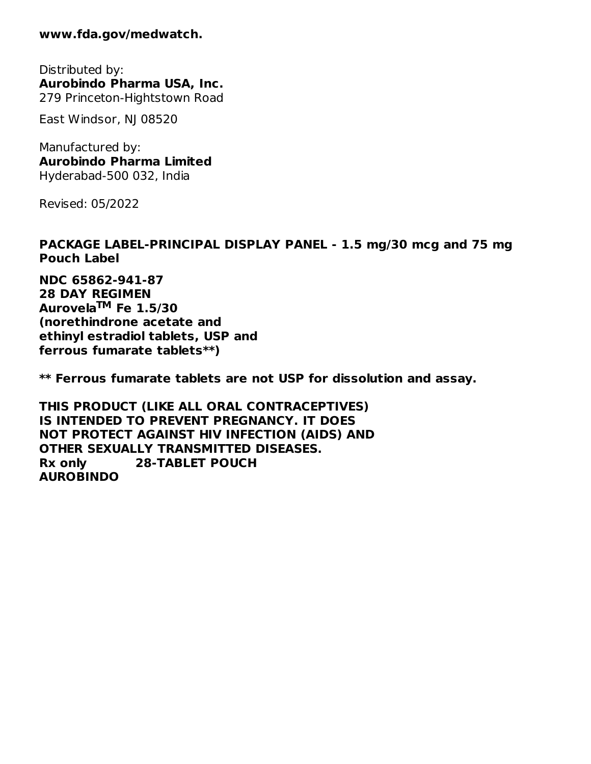#### **www.fda.gov/medwatch.**

Distributed by: **Aurobindo Pharma USA, Inc.** 279 Princeton-Hightstown Road

East Windsor, NJ 08520

Manufactured by: **Aurobindo Pharma Limited** Hyderabad-500 032, India

Revised: 05/2022

**PACKAGE LABEL-PRINCIPAL DISPLAY PANEL - 1.5 mg/30 mcg and 75 mg Pouch Label**

**NDC 65862-941-87 28 DAY REGIMEN Aurovela Fe 1.5/30 TM(norethindrone acetate and ethinyl estradiol tablets, USP and ferrous fumarate tablets\*\*)**

**\*\* Ferrous fumarate tablets are not USP for dissolution and assay.**

**THIS PRODUCT (LIKE ALL ORAL CONTRACEPTIVES) IS INTENDED TO PREVENT PREGNANCY. IT DOES NOT PROTECT AGAINST HIV INFECTION (AIDS) AND OTHER SEXUALLY TRANSMITTED DISEASES. Rx only 28-TABLET POUCH AUROBINDO**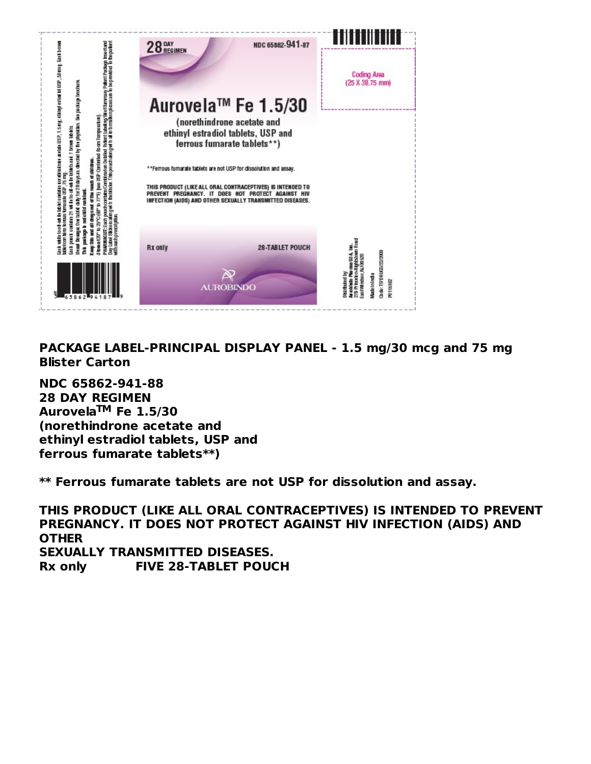

**PACKAGE LABEL-PRINCIPAL DISPLAY PANEL - 1.5 mg/30 mcg and 75 mg Blister Carton**

**NDC 65862-941-88 28 DAY REGIMEN Aurovela Fe 1.5/30 TM(norethindrone acetate and ethinyl estradiol tablets, USP and ferrous fumarate tablets\*\*)**

**\*\* Ferrous fumarate tablets are not USP for dissolution and assay.**

**THIS PRODUCT (LIKE ALL ORAL CONTRACEPTIVES) IS INTENDED TO PREVENT PREGNANCY. IT DOES NOT PROTECT AGAINST HIV INFECTION (AIDS) AND OTHER SEXUALLY TRANSMITTED DISEASES. Rx only FIVE 28-TABLET POUCH**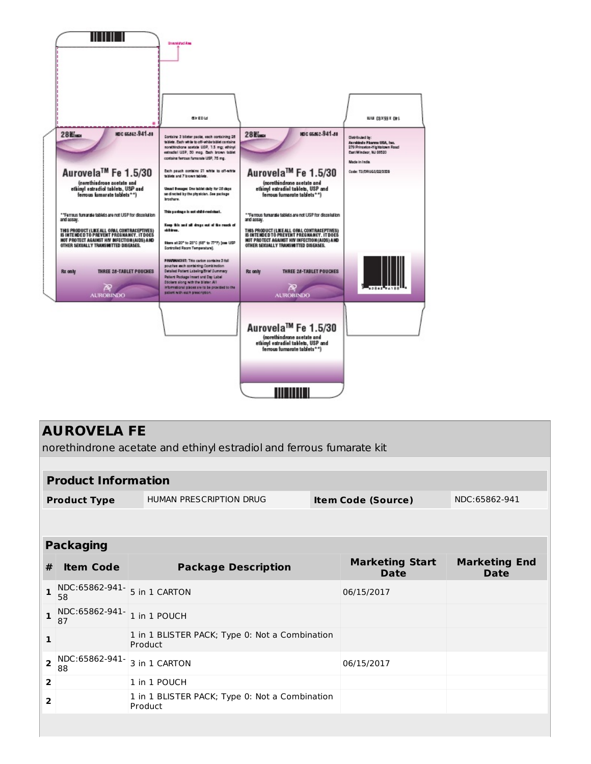

|                         | <b>AUROVELA FE</b>                 |                                                                      |                                       |                              |  |
|-------------------------|------------------------------------|----------------------------------------------------------------------|---------------------------------------|------------------------------|--|
|                         |                                    | norethindrone acetate and ethinyl estradiol and ferrous fumarate kit |                                       |                              |  |
|                         | <b>Product Information</b>         |                                                                      |                                       |                              |  |
|                         |                                    |                                                                      |                                       |                              |  |
|                         | <b>Product Type</b>                | HUMAN PRESCRIPTION DRUG                                              | <b>Item Code (Source)</b>             | NDC:65862-941                |  |
|                         |                                    |                                                                      |                                       |                              |  |
|                         | <b>Packaging</b>                   |                                                                      |                                       |                              |  |
| #                       | <b>Item Code</b>                   | <b>Package Description</b>                                           | <b>Marketing Start</b><br><b>Date</b> | <b>Marketing End</b><br>Date |  |
| $\mathbf{1}$            | NDC:65862-941- 5 in 1 CARTON<br>58 |                                                                      | 06/15/2017                            |                              |  |
| $\mathbf{1}$            | NDC:65862-941-<br>87               | 1 in 1 POUCH                                                         |                                       |                              |  |
| $\mathbf{1}$            |                                    | 1 in 1 BLISTER PACK; Type 0: Not a Combination<br>Product            |                                       |                              |  |
| $\overline{\mathbf{2}}$ | NDC:65862-941-<br>88               | 3 in 1 CARTON                                                        | 06/15/2017                            |                              |  |
| $\overline{2}$          |                                    | 1 in 1 POUCH                                                         |                                       |                              |  |
| $\overline{\mathbf{2}}$ |                                    | 1 in 1 BLISTER PACK; Type 0: Not a Combination<br>Product            |                                       |                              |  |
|                         |                                    |                                                                      |                                       |                              |  |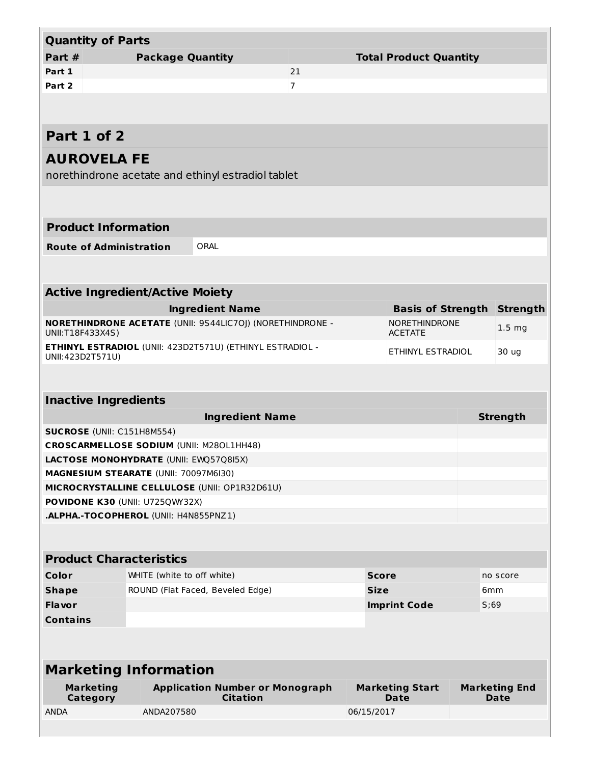| <b>Quantity of Parts</b>                                                               |                                                 |                                                                  |                |            |                                        |  |                              |
|----------------------------------------------------------------------------------------|-------------------------------------------------|------------------------------------------------------------------|----------------|------------|----------------------------------------|--|------------------------------|
| Part #                                                                                 | <b>Package Quantity</b>                         |                                                                  |                |            | <b>Total Product Quantity</b>          |  |                              |
| Part 1                                                                                 |                                                 |                                                                  | 21             |            |                                        |  |                              |
| Part 2                                                                                 |                                                 |                                                                  | $\overline{7}$ |            |                                        |  |                              |
|                                                                                        |                                                 |                                                                  |                |            |                                        |  |                              |
|                                                                                        |                                                 |                                                                  |                |            |                                        |  |                              |
| Part 1 of 2                                                                            |                                                 |                                                                  |                |            |                                        |  |                              |
| <b>AUROVELA FE</b>                                                                     |                                                 |                                                                  |                |            |                                        |  |                              |
|                                                                                        |                                                 | norethindrone acetate and ethinyl estradiol tablet               |                |            |                                        |  |                              |
|                                                                                        |                                                 |                                                                  |                |            |                                        |  |                              |
|                                                                                        |                                                 |                                                                  |                |            |                                        |  |                              |
| <b>Product Information</b>                                                             |                                                 |                                                                  |                |            |                                        |  |                              |
| <b>Route of Administration</b>                                                         |                                                 | ORAL                                                             |                |            |                                        |  |                              |
|                                                                                        |                                                 |                                                                  |                |            |                                        |  |                              |
|                                                                                        |                                                 |                                                                  |                |            |                                        |  |                              |
| <b>Active Ingredient/Active Moiety</b>                                                 |                                                 |                                                                  |                |            |                                        |  |                              |
|                                                                                        |                                                 | <b>Ingredient Name</b>                                           |                |            | <b>Basis of Strength</b>               |  | <b>Strength</b>              |
| UNII:T18F433X4S)                                                                       |                                                 | <b>NORETHINDRONE ACETATE (UNII: 9S44LIC70J) (NORETHINDRONE -</b> |                |            | <b>NORETHINDRONE</b><br><b>ACETATE</b> |  | 1.5 <sub>mg</sub>            |
| ETHINYL ESTRADIOL (UNII: 423D2T571U) (ETHINYL ESTRADIOL -<br>ETHINYL ESTRADIOL         |                                                 |                                                                  | 30 ug          |            |                                        |  |                              |
|                                                                                        | UNII:423D2T571U)                                |                                                                  |                |            |                                        |  |                              |
|                                                                                        |                                                 |                                                                  |                |            |                                        |  |                              |
| <b>Inactive Ingredients</b>                                                            |                                                 |                                                                  |                |            |                                        |  |                              |
|                                                                                        |                                                 | <b>Ingredient Name</b>                                           |                |            |                                        |  | <b>Strength</b>              |
| SUCROSE (UNII: C151H8M554)                                                             |                                                 |                                                                  |                |            |                                        |  |                              |
|                                                                                        | <b>CROSCARMELLOSE SODIUM (UNII: M280L1HH48)</b> |                                                                  |                |            |                                        |  |                              |
|                                                                                        | LACTOSE MONOHYDRATE (UNII: EWQ57Q8I5X)          |                                                                  |                |            |                                        |  |                              |
| MAGNESIUM STEARATE (UNII: 70097M6I30)                                                  |                                                 |                                                                  |                |            |                                        |  |                              |
|                                                                                        |                                                 | MICROCRYSTALLINE CELLULOSE (UNII: OP1R32D61U)                    |                |            |                                        |  |                              |
| POVIDONE K30 (UNII: U725QWY32X)                                                        |                                                 |                                                                  |                |            |                                        |  |                              |
| .ALPHA.-TOCOPHEROL (UNII: H4N855PNZ1)                                                  |                                                 |                                                                  |                |            |                                        |  |                              |
|                                                                                        |                                                 |                                                                  |                |            |                                        |  |                              |
| <b>Product Characteristics</b>                                                         |                                                 |                                                                  |                |            |                                        |  |                              |
| Color                                                                                  | WHITE (white to off white)                      |                                                                  |                |            |                                        |  | no score                     |
| <b>Score</b><br>ROUND (Flat Faced, Beveled Edge)<br><b>Size</b><br><b>Shape</b><br>6mm |                                                 |                                                                  |                |            |                                        |  |                              |
| Flavor<br><b>Imprint Code</b><br>S:69                                                  |                                                 |                                                                  |                |            |                                        |  |                              |
| <b>Contains</b>                                                                        |                                                 |                                                                  |                |            |                                        |  |                              |
|                                                                                        |                                                 |                                                                  |                |            |                                        |  |                              |
|                                                                                        |                                                 |                                                                  |                |            |                                        |  |                              |
| <b>Marketing Information</b>                                                           |                                                 |                                                                  |                |            |                                        |  |                              |
| <b>Marketing</b><br>Category                                                           |                                                 | <b>Application Number or Monograph</b><br><b>Citation</b>        |                |            | <b>Marketing Start</b><br><b>Date</b>  |  | <b>Marketing End</b><br>Date |
| <b>ANDA</b>                                                                            | ANDA207580                                      |                                                                  |                | 06/15/2017 |                                        |  |                              |
|                                                                                        |                                                 |                                                                  |                |            |                                        |  |                              |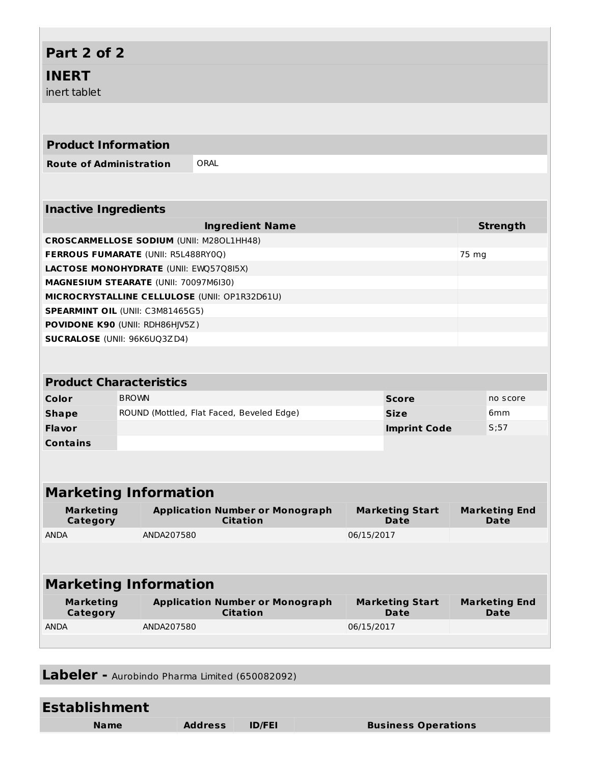| Part 2 of 2                         |                                                 |                                                           |            |                                |       |                              |
|-------------------------------------|-------------------------------------------------|-----------------------------------------------------------|------------|--------------------------------|-------|------------------------------|
| <b>INERT</b>                        |                                                 |                                                           |            |                                |       |                              |
| inert tablet                        |                                                 |                                                           |            |                                |       |                              |
|                                     |                                                 |                                                           |            |                                |       |                              |
|                                     |                                                 |                                                           |            |                                |       |                              |
| <b>Product Information</b>          |                                                 |                                                           |            |                                |       |                              |
| <b>Route of Administration</b>      |                                                 | ORAL                                                      |            |                                |       |                              |
|                                     |                                                 |                                                           |            |                                |       |                              |
|                                     |                                                 |                                                           |            |                                |       |                              |
| <b>Inactive Ingredients</b>         |                                                 |                                                           |            |                                |       |                              |
|                                     |                                                 | <b>Ingredient Name</b>                                    |            |                                |       | <b>Strength</b>              |
|                                     | <b>CROSCARMELLOSE SODIUM (UNII: M280L1HH48)</b> |                                                           |            |                                |       |                              |
|                                     | <b>FERROUS FUMARATE (UNII: R5L488RY0Q)</b>      |                                                           |            |                                | 75 mg |                              |
|                                     | LACTOSE MONOHYDRATE (UNII: EWQ57Q8I5X)          |                                                           |            |                                |       |                              |
|                                     | MAGNESIUM STEARATE (UNII: 70097M6I30)           |                                                           |            |                                |       |                              |
|                                     |                                                 | MICROCRYSTALLINE CELLULOSE (UNII: OP1R32D61U)             |            |                                |       |                              |
|                                     | SPEARMINT OIL (UNII: C3M81465G5)                |                                                           |            |                                |       |                              |
|                                     | POVIDONE K90 (UNII: RDH86HJV5Z)                 |                                                           |            |                                |       |                              |
|                                     | <b>SUCRALOSE (UNII: 96K6UQ3ZD4)</b>             |                                                           |            |                                |       |                              |
|                                     |                                                 |                                                           |            |                                |       |                              |
|                                     | <b>Product Characteristics</b>                  |                                                           |            |                                |       |                              |
| Color                               | <b>BROWN</b>                                    |                                                           |            | <b>Score</b>                   |       | no score                     |
| <b>Shape</b>                        |                                                 | ROUND (Mottled, Flat Faced, Beveled Edge)                 |            | <b>Size</b>                    |       | 6 <sub>mm</sub>              |
| Flavor                              |                                                 |                                                           |            | <b>Imprint Code</b>            |       | S:57                         |
| <b>Contains</b>                     |                                                 |                                                           |            |                                |       |                              |
|                                     |                                                 |                                                           |            |                                |       |                              |
|                                     |                                                 |                                                           |            |                                |       |                              |
|                                     | <b>Marketing Information</b>                    |                                                           |            |                                |       |                              |
| <b>Marketing</b><br>Category        |                                                 | <b>Application Number or Monograph</b><br><b>Citation</b> |            | <b>Marketing Start</b><br>Date |       | <b>Marketing End</b><br>Date |
| <b>ANDA</b>                         | ANDA207580                                      |                                                           | 06/15/2017 |                                |       |                              |
|                                     |                                                 |                                                           |            |                                |       |                              |
|                                     | <b>Marketing Information</b>                    |                                                           |            |                                |       |                              |
| <b>Marketing</b><br><b>Category</b> |                                                 | <b>Application Number or Monograph</b><br><b>Citation</b> |            | <b>Marketing Start</b><br>Date |       | <b>Marketing End</b><br>Date |
| <b>ANDA</b>                         | ANDA207580                                      |                                                           | 06/15/2017 |                                |       |                              |
|                                     |                                                 |                                                           |            |                                |       |                              |
|                                     |                                                 |                                                           |            |                                |       |                              |

**Labeler -** Aurobindo Pharma Limited (650082092)

| <b>Establishment</b> |                |               |                            |
|----------------------|----------------|---------------|----------------------------|
| <b>Name</b>          | <b>Address</b> | <b>ID/FEI</b> | <b>Business Operations</b> |